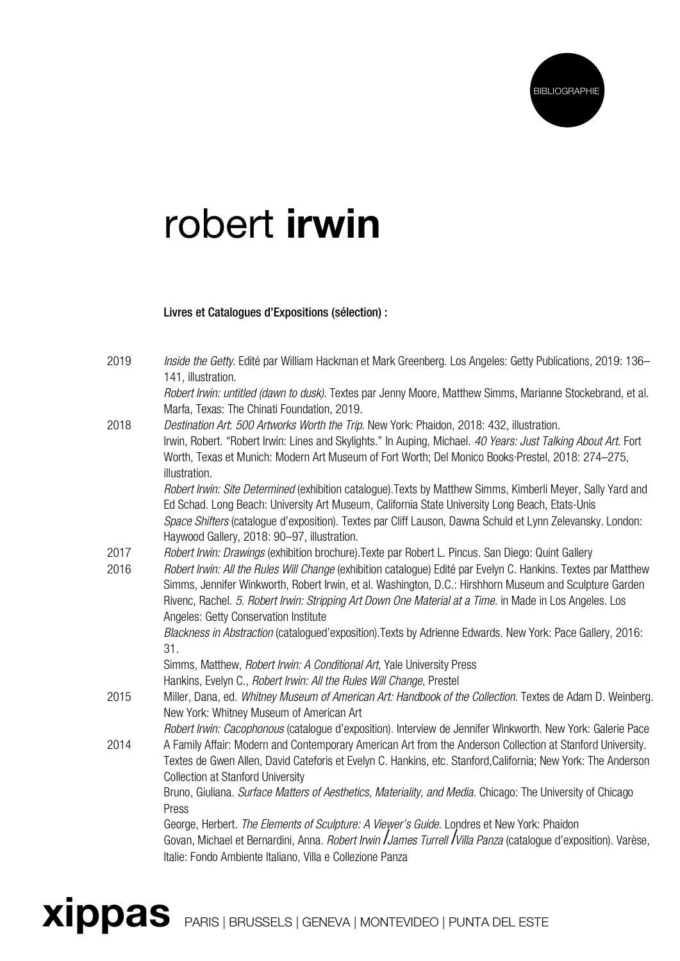

## robert irwin

## Livres et Catalogues d'Expositions (sélection) :

| 2019         | Inside the Getty. Edité par William Hackman et Mark Greenberg. Los Angeles: Getty Publications, 2019: 136–                                                                                                           |
|--------------|----------------------------------------------------------------------------------------------------------------------------------------------------------------------------------------------------------------------|
|              | 141, illustration.                                                                                                                                                                                                   |
|              | Robert Irwin: untitled (dawn to dusk). Textes par Jenny Moore, Matthew Simms, Marianne Stockebrand, et al.                                                                                                           |
|              | Marfa, Texas: The Chinati Foundation, 2019.                                                                                                                                                                          |
| 2018         | Destination Art. 500 Artworks Worth the Trip. New York: Phaidon, 2018: 432, illustration.                                                                                                                            |
|              | Irwin, Robert. "Robert Irwin: Lines and Skylights." In Auping, Michael. 40 Years: Just Talking About Art. Fort                                                                                                       |
|              | Worth, Texas et Munich: Modern Art Museum of Fort Worth; Del Monico Books Prestel, 2018: 274-275,                                                                                                                    |
|              | illustration.                                                                                                                                                                                                        |
|              | Robert Irwin: Site Determined (exhibition catalogue). Texts by Matthew Simms, Kimberli Meyer, Sally Yard and                                                                                                         |
|              | Ed Schad. Long Beach: University Art Museum, California State University Long Beach, Etats-Unis                                                                                                                      |
|              | Space Shifters (catalogue d'exposition). Textes par Cliff Lauson, Dawna Schuld et Lynn Zelevansky. London:                                                                                                           |
|              | Haywood Gallery, 2018: 90-97, illustration.                                                                                                                                                                          |
| 2017<br>2016 | Robert Irwin: Drawings (exhibition brochure). Texte par Robert L. Pincus. San Diego: Quint Gallery<br>Robert Irwin: All the Rules Will Change (exhibition catalogue) Edité par Evelyn C. Hankins. Textes par Matthew |
|              | Simms, Jennifer Winkworth, Robert Irwin, et al. Washington, D.C.: Hirshhorn Museum and Sculpture Garden                                                                                                              |
|              | Rivenc, Rachel. 5. Robert Irwin: Stripping Art Down One Material at a Time. in Made in Los Angeles. Los                                                                                                              |
|              | Angeles: Getty Conservation Institute                                                                                                                                                                                |
|              | Blackness in Abstraction (catalogued'exposition). Texts by Adrienne Edwards. New York: Pace Gallery, 2016:                                                                                                           |
|              | 31.                                                                                                                                                                                                                  |
|              | Simms, Matthew, Robert Irwin: A Conditional Art, Yale University Press                                                                                                                                               |
|              | Hankins, Evelyn C., Robert Irwin: All the Rules Will Change, Prestel                                                                                                                                                 |
| 2015         | Miller, Dana, ed. Whitney Museum of American Art: Handbook of the Collection. Textes de Adam D. Weinberg.<br>New York: Whitney Museum of American Art                                                                |
|              | Robert Irwin: Cacophonous (catalogue d'exposition). Interview de Jennifer Winkworth. New York: Galerie Pace                                                                                                          |
| 2014         | A Family Affair: Modern and Contemporary American Art from the Anderson Collection at Stanford University.                                                                                                           |
|              | Textes de Gwen Allen, David Cateforis et Evelyn C. Hankins, etc. Stanford, California; New York: The Anderson                                                                                                        |
|              | <b>Collection at Stanford University</b>                                                                                                                                                                             |
|              | Bruno, Giuliana. Surface Matters of Aesthetics, Materiality, and Media. Chicago: The University of Chicago<br>Press                                                                                                  |
|              | George, Herbert. The Elements of Sculpture: A Viewer's Guide. Londres et New York: Phaidon                                                                                                                           |
|              | Govan, Michael et Bernardini, Anna. Robert Irwin <i>JJames Turrell / Villa Panza</i> (catalogue d'exposition). Varèse,                                                                                               |
|              | Italie: Fondo Ambiente Italiano, Villa e Collezione Panza                                                                                                                                                            |
|              |                                                                                                                                                                                                                      |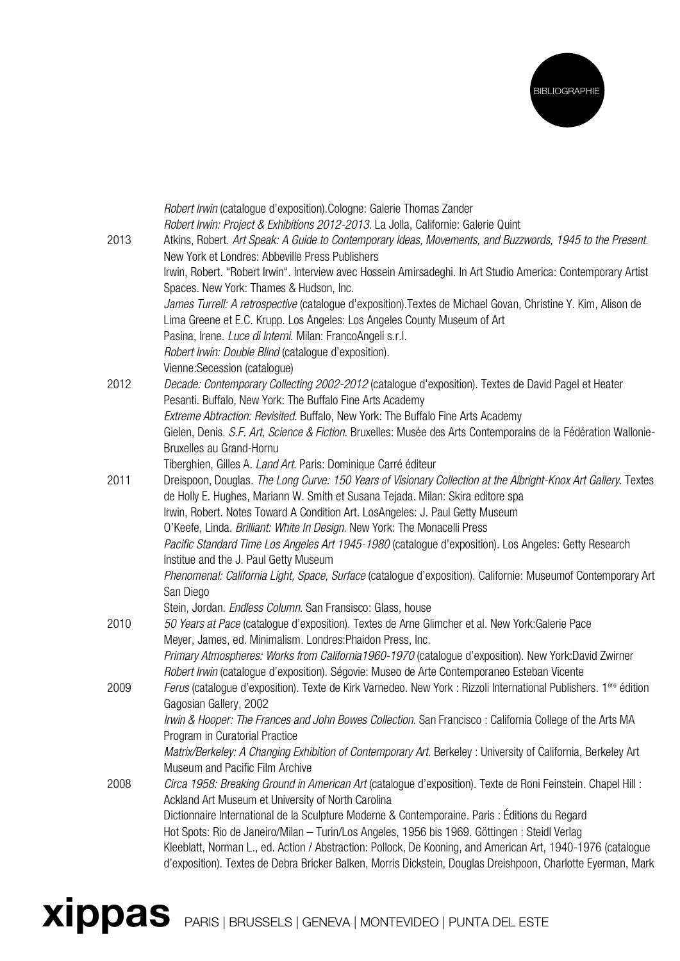

|      | Robert Irwin (catalogue d'exposition). Cologne: Galerie Thomas Zander                                                         |
|------|-------------------------------------------------------------------------------------------------------------------------------|
|      | Robert Irwin: Project & Exhibitions 2012-2013. La Jolla, Californie: Galerie Quint                                            |
| 2013 | Atkins, Robert. Art Speak: A Guide to Contemporary Ideas, Movements, and Buzzwords, 1945 to the Present.                      |
|      | New York et Londres: Abbeville Press Publishers                                                                               |
|      | Irwin, Robert. "Robert Irwin". Interview avec Hossein Amirsadeghi. In Art Studio America: Contemporary Artist                 |
|      | Spaces. New York: Thames & Hudson, Inc.                                                                                       |
|      | James Turrell: A retrospective (catalogue d'exposition). Textes de Michael Govan, Christine Y. Kim, Alison de                 |
|      | Lima Greene et E.C. Krupp. Los Angeles: Los Angeles County Museum of Art                                                      |
|      | Pasina, Irene. Luce di Interni. Milan: FrancoAngeli s.r.l.                                                                    |
|      | Robert Irwin: Double Blind (catalogue d'exposition).                                                                          |
|      | Vienne: Secession (catalogue)                                                                                                 |
| 2012 | Decade: Contemporary Collecting 2002-2012 (catalogue d'exposition). Textes de David Pagel et Heater                           |
|      | Pesanti. Buffalo, New York: The Buffalo Fine Arts Academy                                                                     |
|      | Extreme Abtraction: Revisited. Buffalo, New York: The Buffalo Fine Arts Academy                                               |
|      | Gielen, Denis. S.F. Art, Science & Fiction. Bruxelles: Musée des Arts Contemporains de la Fédération Wallonie-                |
|      | Bruxelles au Grand-Hornu                                                                                                      |
|      | Tiberghien, Gilles A. Land Art. Paris: Dominique Carré éditeur                                                                |
| 2011 | Dreispoon, Douglas. The Long Curve: 150 Years of Visionary Collection at the Albright-Knox Art Gallery. Textes                |
|      | de Holly E. Hughes, Mariann W. Smith et Susana Tejada. Milan: Skira editore spa                                               |
|      | Irwin, Robert. Notes Toward A Condition Art. LosAngeles: J. Paul Getty Museum                                                 |
|      | O'Keefe, Linda. Brilliant: White In Design. New York: The Monacelli Press                                                     |
|      | Pacific Standard Time Los Angeles Art 1945-1980 (catalogue d'exposition). Los Angeles: Getty Research                         |
|      | Institue and the J. Paul Getty Museum                                                                                         |
|      | Phenomenal: California Light, Space, Surface (catalogue d'exposition). Californie: Museumof Contemporary Art                  |
|      | San Diego                                                                                                                     |
|      | Stein, Jordan. Endless Column. San Fransisco: Glass, house                                                                    |
| 2010 | 50 Years at Pace (catalogue d'exposition). Textes de Arne Glimcher et al. New York: Galerie Pace                              |
|      | Meyer, James, ed. Minimalism. Londres: Phaidon Press, Inc.                                                                    |
|      | Primary Atmospheres: Works from California1960-1970 (catalogue d'exposition). New York:David Zwirner                          |
|      | Robert Irwin (catalogue d'exposition). Ségovie: Museo de Arte Contemporaneo Esteban Vicente                                   |
| 2009 | Ferus (catalogue d'exposition). Texte de Kirk Varnedeo. New York : Rizzoli International Publishers. 1 <sup>ère</sup> édition |
|      | Gagosian Gallery, 2002                                                                                                        |
|      | Irwin & Hooper: The Frances and John Bowes Collection. San Francisco: California College of the Arts MA                       |
|      | Program in Curatorial Practice                                                                                                |
|      | Matrix/Berkeley: A Changing Exhibition of Contemporary Art. Berkeley : University of California, Berkeley Art                 |
|      | Museum and Pacific Film Archive                                                                                               |
| 2008 | Circa 1958: Breaking Ground in American Art (catalogue d'exposition). Texte de Roni Feinstein. Chapel Hill :                  |
|      | Ackland Art Museum et University of North Carolina                                                                            |
|      | Dictionnaire International de la Sculpture Moderne & Contemporaine. Paris : Éditions du Regard                                |
|      | Hot Spots: Rio de Janeiro/Milan - Turin/Los Angeles, 1956 bis 1969. Göttingen : Steidl Verlag                                 |
|      | Kleeblatt, Norman L., ed. Action / Abstraction: Pollock, De Kooning, and American Art, 1940-1976 (catalogue                   |
|      | d'exposition). Textes de Debra Bricker Balken, Morris Dickstein, Douglas Dreishpoon, Charlotte Eyerman, Mark                  |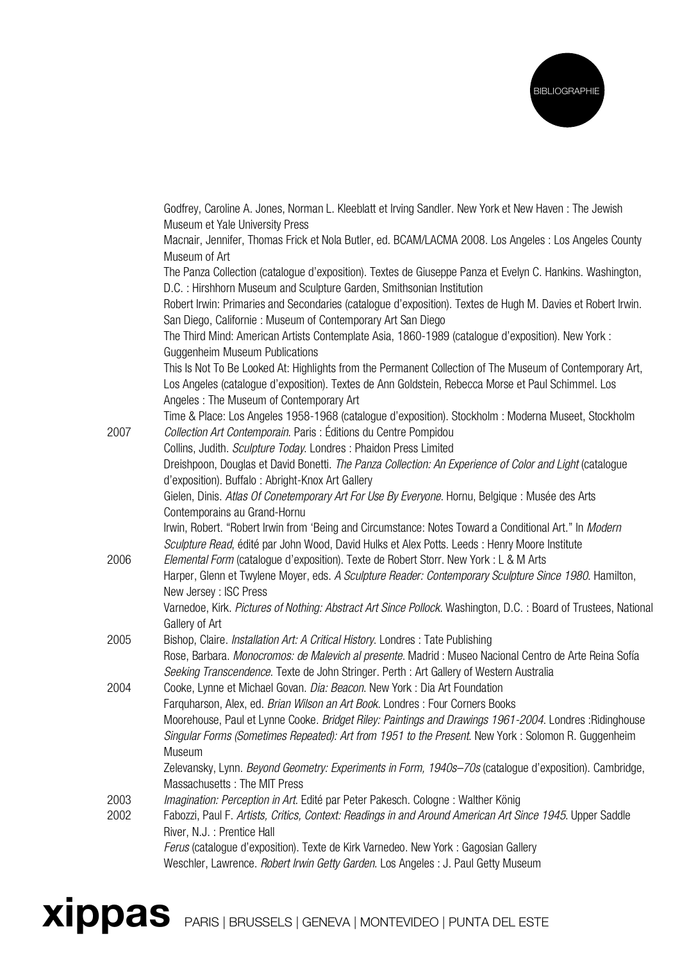

|      | Godfrey, Caroline A. Jones, Norman L. Kleeblatt et Irving Sandler. New York et New Haven : The Jewish                                                                                             |
|------|---------------------------------------------------------------------------------------------------------------------------------------------------------------------------------------------------|
|      | Museum et Yale University Press<br>Macnair, Jennifer, Thomas Frick et Nola Butler, ed. BCAM/LACMA 2008. Los Angeles : Los Angeles County                                                          |
|      | Museum of Art                                                                                                                                                                                     |
|      | The Panza Collection (catalogue d'exposition). Textes de Giuseppe Panza et Evelyn C. Hankins. Washington,                                                                                         |
|      | D.C.: Hirshhorn Museum and Sculpture Garden, Smithsonian Institution                                                                                                                              |
|      | Robert Irwin: Primaries and Secondaries (catalogue d'exposition). Textes de Hugh M. Davies et Robert Irwin.<br>San Diego, Californie: Museum of Contemporary Art San Diego                        |
|      | The Third Mind: American Artists Contemplate Asia, 1860-1989 (catalogue d'exposition). New York :                                                                                                 |
|      | Guggenheim Museum Publications                                                                                                                                                                    |
|      | This Is Not To Be Looked At: Highlights from the Permanent Collection of The Museum of Contemporary Art,                                                                                          |
|      | Los Angeles (catalogue d'exposition). Textes de Ann Goldstein, Rebecca Morse et Paul Schimmel. Los                                                                                                |
|      | Angeles: The Museum of Contemporary Art                                                                                                                                                           |
| 2007 | Time & Place: Los Angeles 1958-1968 (catalogue d'exposition). Stockholm : Moderna Museet, Stockholm<br>Collection Art Contemporain. Paris: Éditions du Centre Pompidou                            |
|      | Collins, Judith. Sculpture Today. Londres: Phaidon Press Limited                                                                                                                                  |
|      | Dreishpoon, Douglas et David Bonetti. The Panza Collection: An Experience of Color and Light (catalogue                                                                                           |
|      | d'exposition). Buffalo: Abright-Knox Art Gallery                                                                                                                                                  |
|      | Gielen, Dinis. Atlas Of Conetemporary Art For Use By Everyone. Hornu, Belgique : Musée des Arts                                                                                                   |
|      | Contemporains au Grand-Hornu                                                                                                                                                                      |
|      | Irwin, Robert. "Robert Irwin from 'Being and Circumstance: Notes Toward a Conditional Art." In Modern                                                                                             |
|      | Sculpture Read, édité par John Wood, David Hulks et Alex Potts. Leeds : Henry Moore Institute                                                                                                     |
| 2006 | Elemental Form (catalogue d'exposition). Texte de Robert Storr. New York : L & M Arts                                                                                                             |
|      | Harper, Glenn et Twylene Moyer, eds. A Sculpture Reader: Contemporary Sculpture Since 1980. Hamilton,                                                                                             |
|      | New Jersey: ISC Press                                                                                                                                                                             |
|      | Varnedoe, Kirk. Pictures of Nothing: Abstract Art Since Pollock. Washington, D.C. : Board of Trustees, National<br>Gallery of Art                                                                 |
| 2005 | Bishop, Claire. Installation Art: A Critical History. Londres: Tate Publishing                                                                                                                    |
|      | Rose, Barbara. Monocromos: de Malevich al presente. Madrid : Museo Nacional Centro de Arte Reina Sofía<br>Seeking Transcendence. Texte de John Stringer. Perth : Art Gallery of Western Australia |
| 2004 | Cooke, Lynne et Michael Govan. Dia: Beacon. New York : Dia Art Foundation                                                                                                                         |
|      | Farquharson, Alex, ed. Brian Wilson an Art Book. Londres: Four Corners Books                                                                                                                      |
|      | Moorehouse, Paul et Lynne Cooke. <i>Bridget Riley: Paintings and Drawings 1961-2004</i> . Londres :Ridinghouse                                                                                    |
|      | Singular Forms (Sometimes Repeated): Art from 1951 to the Present. New York: Solomon R. Guggenheim                                                                                                |
|      | Museum                                                                                                                                                                                            |
|      | Zelevansky, Lynn. Beyond Geometry: Experiments in Form, 1940s-70s (catalogue d'exposition). Cambridge,<br>Massachusetts: The MIT Press                                                            |
| 2003 | Imagination: Perception in Art. Edité par Peter Pakesch. Cologne: Walther König                                                                                                                   |
| 2002 | Fabozzi, Paul F. Artists, Critics, Context: Readings in and Around American Art Since 1945. Upper Saddle<br>River, N.J. : Prentice Hall                                                           |
|      | Ferus (catalogue d'exposition). Texte de Kirk Varnedeo. New York : Gagosian Gallery                                                                                                               |
|      | Weschler, Lawrence. Robert Irwin Getty Garden. Los Angeles : J. Paul Getty Museum                                                                                                                 |
|      |                                                                                                                                                                                                   |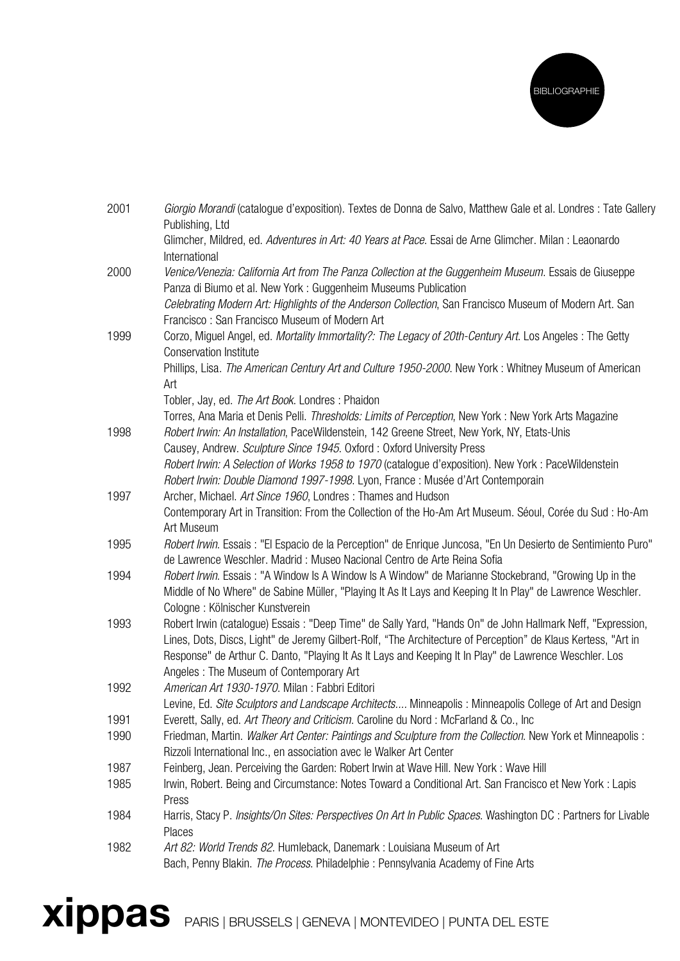

| 2001 | Giorgio Morandi (catalogue d'exposition). Textes de Donna de Salvo, Matthew Gale et al. Londres : Tate Gallery<br>Publishing, Ltd                                                                    |
|------|------------------------------------------------------------------------------------------------------------------------------------------------------------------------------------------------------|
|      | Glimcher, Mildred, ed. Adventures in Art: 40 Years at Pace. Essai de Arne Glimcher. Milan : Leaonardo<br>International                                                                               |
| 2000 | Venice/Venezia: California Art from The Panza Collection at the Guggenheim Museum. Essais de Giuseppe<br>Panza di Biumo et al. New York: Guggenheim Museums Publication                              |
|      | Celebrating Modern Art: Highlights of the Anderson Collection, San Francisco Museum of Modern Art. San<br>Francisco: San Francisco Museum of Modern Art                                              |
| 1999 | Corzo, Miguel Angel, ed. Mortality Immortality?: The Legacy of 20th-Century Art. Los Angeles : The Getty<br><b>Conservation Institute</b>                                                            |
|      | Phillips, Lisa. The American Century Art and Culture 1950-2000. New York: Whitney Museum of American<br>Art                                                                                          |
|      | Tobler, Jay, ed. The Art Book. Londres: Phaidon                                                                                                                                                      |
| 1998 | Torres, Ana Maria et Denis Pelli. Thresholds: Limits of Perception, New York : New York Arts Magazine<br>Robert Irwin: An Installation, PaceWildenstein, 142 Greene Street, New York, NY, Etats-Unis |
|      | Causey, Andrew. Sculpture Since 1945. Oxford: Oxford University Press                                                                                                                                |
|      | Robert Irwin: A Selection of Works 1958 to 1970 (catalogue d'exposition). New York : PaceWildenstein                                                                                                 |
|      | Robert Irwin: Double Diamond 1997-1998. Lyon, France: Musée d'Art Contemporain                                                                                                                       |
| 1997 | Archer, Michael. Art Since 1960, Londres: Thames and Hudson                                                                                                                                          |
|      | Contemporary Art in Transition: From the Collection of the Ho-Am Art Museum. Séoul, Corée du Sud : Ho-Am<br>Art Museum                                                                               |
| 1995 | Robert Irwin. Essais : "El Espacio de la Perception" de Enrique Juncosa, "En Un Desierto de Sentimiento Puro"                                                                                        |
|      | de Lawrence Weschler. Madrid: Museo Nacional Centro de Arte Reina Sofia                                                                                                                              |
| 1994 | Robert Irwin. Essais: "A Window Is A Window Is A Window" de Marianne Stockebrand, "Growing Up in the                                                                                                 |
|      | Middle of No Where" de Sabine Müller, "Playing It As It Lays and Keeping It In Play" de Lawrence Weschler.                                                                                           |
|      | Cologne: Kölnischer Kunstverein                                                                                                                                                                      |
| 1993 | Robert Irwin (catalogue) Essais: "Deep Time" de Sally Yard, "Hands On" de John Hallmark Neff, "Expression,                                                                                           |
|      | Lines, Dots, Discs, Light" de Jeremy Gilbert-Rolf, "The Architecture of Perception" de Klaus Kertess, "Art in                                                                                        |
|      | Response" de Arthur C. Danto, "Playing It As It Lays and Keeping It In Play" de Lawrence Weschler. Los                                                                                               |
|      | Angeles: The Museum of Contemporary Art                                                                                                                                                              |
| 1992 | American Art 1930-1970. Milan: Fabbri Editori                                                                                                                                                        |
|      | Levine, Ed. Site Sculptors and Landscape Architects Minneapolis: Minneapolis College of Art and Design                                                                                               |
| 1991 | Everett, Sally, ed. Art Theory and Criticism. Caroline du Nord: McFarland & Co., Inc                                                                                                                 |
| 1990 | Friedman, Martin. Walker Art Center: Paintings and Sculpture from the Collection. New York et Minneapolis :<br>Rizzoli International Inc., en association avec le Walker Art Center                  |
| 1987 | Feinberg, Jean. Perceiving the Garden: Robert Irwin at Wave Hill. New York: Wave Hill                                                                                                                |
| 1985 | Irwin, Robert. Being and Circumstance: Notes Toward a Conditional Art. San Francisco et New York : Lapis                                                                                             |
|      | Press                                                                                                                                                                                                |
| 1984 | Harris, Stacy P. Insights/On Sites: Perspectives On Art In Public Spaces. Washington DC : Partners for Livable<br>Places                                                                             |
| 1982 | Art 82: World Trends 82. Humleback, Danemark: Louisiana Museum of Art                                                                                                                                |
|      | Bach, Penny Blakin. The Process. Philadelphie: Pennsylvania Academy of Fine Arts                                                                                                                     |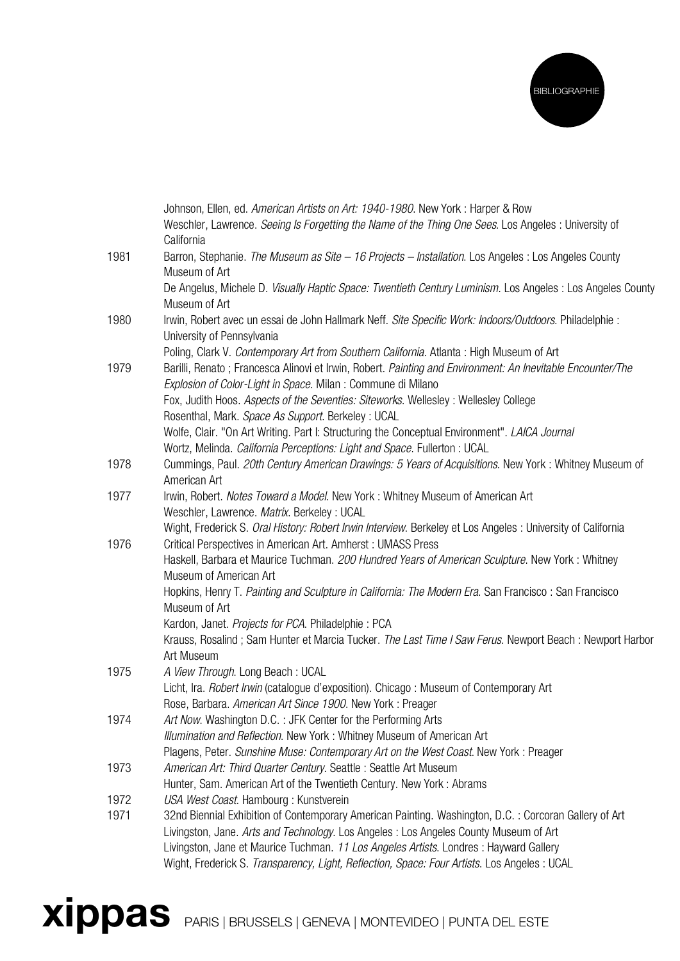

|      | Johnson, Ellen, ed. American Artists on Art: 1940-1980. New York: Harper & Row<br>Weschler, Lawrence. Seeing Is Forgetting the Name of the Thing One Sees. Los Angeles : University of |
|------|----------------------------------------------------------------------------------------------------------------------------------------------------------------------------------------|
|      | California                                                                                                                                                                             |
| 1981 | Barron, Stephanie. The Museum as Site - 16 Projects - Installation. Los Angeles : Los Angeles County<br>Museum of Art                                                                  |
|      | De Angelus, Michele D. Visually Haptic Space: Twentieth Century Luminism. Los Angeles : Los Angeles County                                                                             |
|      | Museum of Art                                                                                                                                                                          |
| 1980 | Irwin, Robert avec un essai de John Hallmark Neff. Site Specific Work: Indoors/Outdoors. Philadelphie :                                                                                |
|      | University of Pennsylvania                                                                                                                                                             |
|      | Poling, Clark V. Contemporary Art from Southern California. Atlanta: High Museum of Art                                                                                                |
| 1979 | Barilli, Renato; Francesca Alinovi et Irwin, Robert. Painting and Environment: An Inevitable Encounter/The                                                                             |
|      | Explosion of Color-Light in Space. Milan : Commune di Milano                                                                                                                           |
|      | Fox, Judith Hoos. Aspects of the Seventies: Siteworks. Wellesley: Wellesley College                                                                                                    |
|      | Rosenthal, Mark. Space As Support. Berkeley : UCAL                                                                                                                                     |
|      | Wolfe, Clair. "On Art Writing. Part I: Structuring the Conceptual Environment". LAICA Journal                                                                                          |
|      | Wortz, Melinda. California Perceptions: Light and Space. Fullerton: UCAL                                                                                                               |
| 1978 | Cummings, Paul. 20th Century American Drawings: 5 Years of Acquisitions. New York: Whitney Museum of                                                                                   |
|      | American Art                                                                                                                                                                           |
| 1977 | Irwin, Robert. Notes Toward a Model. New York: Whitney Museum of American Art                                                                                                          |
|      | Weschler, Lawrence. Matrix. Berkeley: UCAL                                                                                                                                             |
|      | Wight, Frederick S. Oral History: Robert Irwin Interview. Berkeley et Los Angeles : University of California                                                                           |
| 1976 | Critical Perspectives in American Art. Amherst: UMASS Press                                                                                                                            |
|      | Haskell, Barbara et Maurice Tuchman. 200 Hundred Years of American Sculpture. New York: Whitney                                                                                        |
|      | Museum of American Art                                                                                                                                                                 |
|      | Hopkins, Henry T. Painting and Sculpture in California: The Modern Era. San Francisco: San Francisco<br>Museum of Art                                                                  |
|      | Kardon, Janet. Projects for PCA. Philadelphie: PCA                                                                                                                                     |
|      | Krauss, Rosalind; Sam Hunter et Marcia Tucker. The Last Time I Saw Ferus. Newport Beach: Newport Harbor                                                                                |
|      | Art Museum                                                                                                                                                                             |
| 1975 | A View Through. Long Beach: UCAL                                                                                                                                                       |
|      | Licht, Ira. Robert Irwin (catalogue d'exposition). Chicago : Museum of Contemporary Art                                                                                                |
|      | Rose, Barbara. American Art Since 1900. New York: Preager                                                                                                                              |
| 1974 | Art Now. Washington D.C. : JFK Center for the Performing Arts                                                                                                                          |
|      | Illumination and Reflection. New York: Whitney Museum of American Art                                                                                                                  |
|      | Plagens, Peter. Sunshine Muse: Contemporary Art on the West Coast. New York: Preager                                                                                                   |
| 1973 | American Art: Third Quarter Century. Seattle: Seattle Art Museum                                                                                                                       |
|      | Hunter, Sam. American Art of the Twentieth Century. New York: Abrams                                                                                                                   |
| 1972 | USA West Coast. Hambourg: Kunstverein                                                                                                                                                  |
| 1971 | 32nd Biennial Exhibition of Contemporary American Painting. Washington, D.C. : Corcoran Gallery of Art                                                                                 |
|      | Livingston, Jane. Arts and Technology. Los Angeles: Los Angeles County Museum of Art                                                                                                   |
|      | Livingston, Jane et Maurice Tuchman. 11 Los Angeles Artists. Londres : Hayward Gallery                                                                                                 |
|      | Wight, Frederick S. Transparency, Light, Reflection, Space: Four Artists. Los Angeles : UCAL                                                                                           |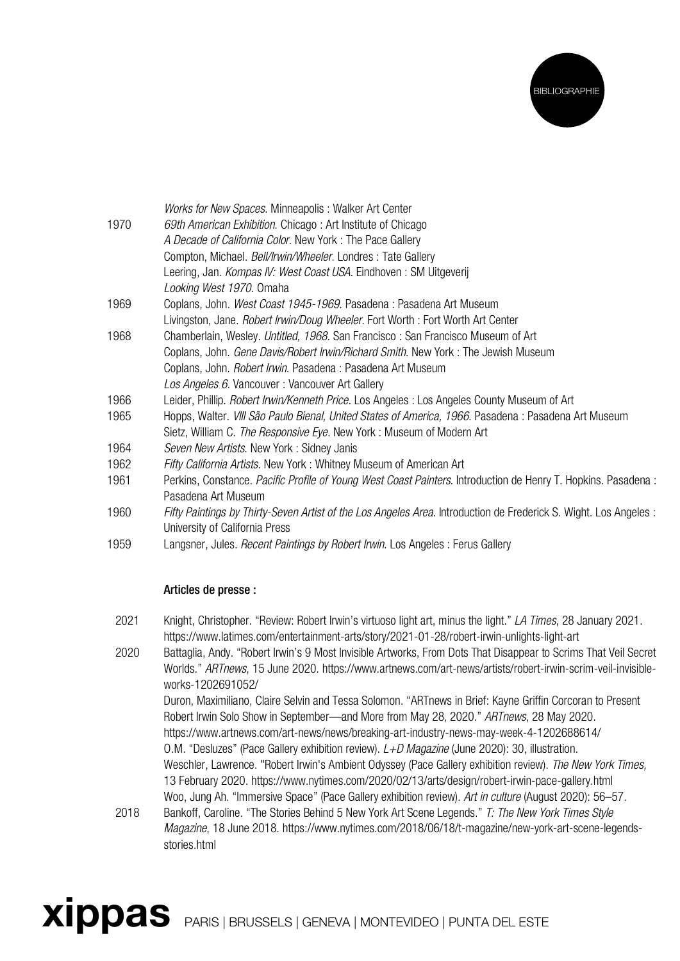

|      | Works for New Spaces. Minneapolis: Walker Art Center                                                             |
|------|------------------------------------------------------------------------------------------------------------------|
| 1970 | 69th American Exhibition. Chicago: Art Institute of Chicago                                                      |
|      | A Decade of California Color. New York: The Pace Gallery                                                         |
|      | Compton, Michael. Bell/Irwin/Wheeler. Londres: Tate Gallery                                                      |
|      | Leering, Jan. Kompas IV: West Coast USA. Eindhoven: SM Uitgeverij                                                |
|      | Looking West 1970. Omaha                                                                                         |
| 1969 | Coplans, John. West Coast 1945-1969. Pasadena: Pasadena Art Museum                                               |
|      | Livingston, Jane. Robert Irwin/Doug Wheeler. Fort Worth: Fort Worth Art Center                                   |
| 1968 | Chamberlain, Wesley. Untitled, 1968. San Francisco: San Francisco Museum of Art                                  |
|      | Coplans, John. Gene Davis/Robert Irwin/Richard Smith. New York: The Jewish Museum                                |
|      | Coplans, John. Robert Irwin. Pasadena : Pasadena Art Museum                                                      |
|      | Los Angeles 6. Vancouver : Vancouver Art Gallery                                                                 |
| 1966 | Leider, Phillip. <i>Robert Irwin/Kenneth Price</i> . Los Angeles : Los Angeles County Museum of Art              |
| 1965 | Hopps, Walter. <i>VIII São Paulo Bienal, United States of America, 1966</i> . Pasadena : Pasadena Art Museum     |
|      | Sietz, William C. The Responsive Eye. New York: Museum of Modern Art                                             |
| 1964 | Seven New Artists. New York: Sidney Janis                                                                        |
| 1962 | Fifty California Artists. New York: Whitney Museum of American Art                                               |
| 1961 | Perkins, Constance. Pacific Profile of Young West Coast Painters. Introduction de Henry T. Hopkins. Pasadena :   |
|      | Pasadena Art Museum                                                                                              |
| 1960 | Fifty Paintings by Thirty-Seven Artist of the Los Angeles Area. Introduction de Frederick S. Wight. Los Angeles: |
|      | University of California Press                                                                                   |
| 1959 | Langsner, Jules. <i>Recent Paintings by Robert Irwin</i> . Los Angeles : Ferus Gallery                           |

## Articles de presse :

- 2021 Knight, Christopher. "Review: Robert Irwin's virtuoso light art, minus the light." LA Times, 28 January 2021. https://www.latimes.com/entertainment-arts/story/2021-01-28/robert-irwin-unlights-light-art
- 2020 Battaglia, Andy. "Robert Irwin's 9 Most Invisible Artworks, From Dots That Disappear to Scrims That Veil Secret Worlds." ARTnews, 15 June 2020. https://www.artnews.com/art-news/artists/robert-irwin-scrim-veil-invisibleworks-1202691052/

 Duron, Maximiliano, Claire Selvin and Tessa Solomon. "ARTnews in Brief: Kayne Griffin Corcoran to Present Robert Irwin Solo Show in September—and More from May 28, 2020." ARTnews, 28 May 2020. https://www.artnews.com/art-news/news/breaking-art-industry-news-may-week-4-1202688614/ O.M. "Desluzes" (Pace Gallery exhibition review).  $L+D$  Magazine (June 2020): 30, illustration. Weschler, Lawrence. "Robert Irwin's Ambient Odyssey (Pace Gallery exhibition review). The New York Times, 13 February 2020. https://www.nytimes.com/2020/02/13/arts/design/robert-irwin-pace-gallery.html Woo, Jung Ah. "Immersive Space" (Pace Gallery exhibition review). Art in culture (August 2020): 56–57.

2018 Bankoff, Caroline. "The Stories Behind 5 New York Art Scene Legends." T: The New York Times Style Magazine, 18 June 2018. https://www.nytimes.com/2018/06/18/t-magazine/new-york-art-scene-legendsstories.html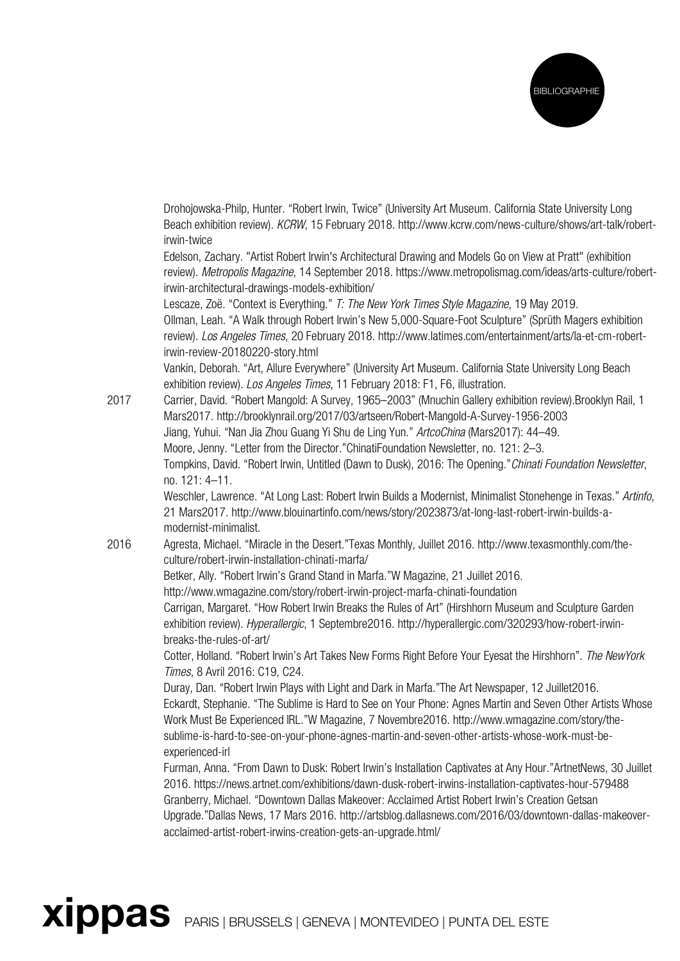

Drohojowska-Philp, Hunter. "Robert Irwin, Twice" (University Art Museum. California State University Long Beach exhibition review). KCRW, 15 February 2018. http://www.kcrw.com/news-culture/shows/art-talk/robertirwin-twice

 Edelson, Zachary. "Artist Robert Irwin's Architectural Drawing and Models Go on View at Pratt" (exhibition review). Metropolis Magazine, 14 September 2018. https://www.metropolismag.com/ideas/arts-culture/robertirwin-architectural-drawings-models-exhibition/

Lescaze, Zoë. "Context is Everything." T: The New York Times Style Magazine, 19 May 2019. Ollman, Leah. "A Walk through Robert Irwin's New 5,000-Square-Foot Sculpture" (Sprüth Magers exhibition review). Los Angeles Times, 20 February 2018. http://www.latimes.com/entertainment/arts/la-et-cm-robertirwin-review-20180220-story.html

 Vankin, Deborah. "Art, Allure Everywhere" (University Art Museum. California State University Long Beach exhibition review). Los Angeles Times, 11 February 2018: F1, F6, illustration.

2017 Carrier, David. "Robert Mangold: A Survey, 1965–2003" (Mnuchin Gallery exhibition review).Brooklyn Rail, 1 Mars2017. http://brooklynrail.org/2017/03/artseen/Robert-Mangold-A-Survey-1956-2003 Jiang, Yuhui. "Nan Jia Zhou Guang Yi Shu de Ling Yun." ArtcoChina (Mars2017): 44-49. Moore, Jenny. "Letter from the Director."ChinatiFoundation Newsletter, no. 121: 2–3. Tompkins, David. "Robert Irwin, Untitled (Dawn to Dusk), 2016: The Opening."Chinati Foundation Newsletter, no. 121: 4–11.

> Weschler, Lawrence. "At Long Last: Robert Irwin Builds a Modernist, Minimalist Stonehenge in Texas." Artinfo, 21 Mars2017. http://www.blouinartinfo.com/news/story/2023873/at-long-last-robert-irwin-builds-amodernist-minimalist.

2016 Agresta, Michael. "Miracle in the Desert."Texas Monthly, Juillet 2016. http://www.texasmonthly.com/theculture/robert-irwin-installation-chinati-marfa/

Betker, Ally. "Robert Irwin's Grand Stand in Marfa."W Magazine, 21 Juillet 2016.

http://www.wmagazine.com/story/robert-irwin-project-marfa-chinati-foundation

Carrigan, Margaret. "How Robert Irwin Breaks the Rules of Art" (Hirshhorn Museum and Sculpture Garden exhibition review). Hyperallergic, 1 Septembre2016. http://hyperallergic.com/320293/how-robert-irwinbreaks-the-rules-of-art/

 Cotter, Holland. "Robert Irwin's Art Takes New Forms Right Before Your Eyesat the Hirshhorn". The NewYork Times, 8 Avril 2016: C19, C24.

 Duray, Dan. "Robert Irwin Plays with Light and Dark in Marfa."The Art Newspaper, 12 Juillet2016. Eckardt, Stephanie. "The Sublime is Hard to See on Your Phone: Agnes Martin and Seven Other Artists Whose Work Must Be Experienced IRL."W Magazine, 7 Novembre2016. http://www.wmagazine.com/story/thesublime-is-hard-to-see-on-your-phone-agnes-martin-and-seven-other-artists-whose-work-must-beexperienced-irl

Furman, Anna. "From Dawn to Dusk: Robert Irwin's Installation Captivates at Any Hour."ArtnetNews, 30 Juillet 2016. https://news.artnet.com/exhibitions/dawn-dusk-robert-irwins-installation-captivates-hour-579488 Granberry, Michael. "Downtown Dallas Makeover: Acclaimed Artist Robert Irwin's Creation Getsan Upgrade."Dallas News, 17 Mars 2016. http://artsblog.dallasnews.com/2016/03/downtown-dallas-makeoveracclaimed-artist-robert-irwins-creation-gets-an-upgrade.html/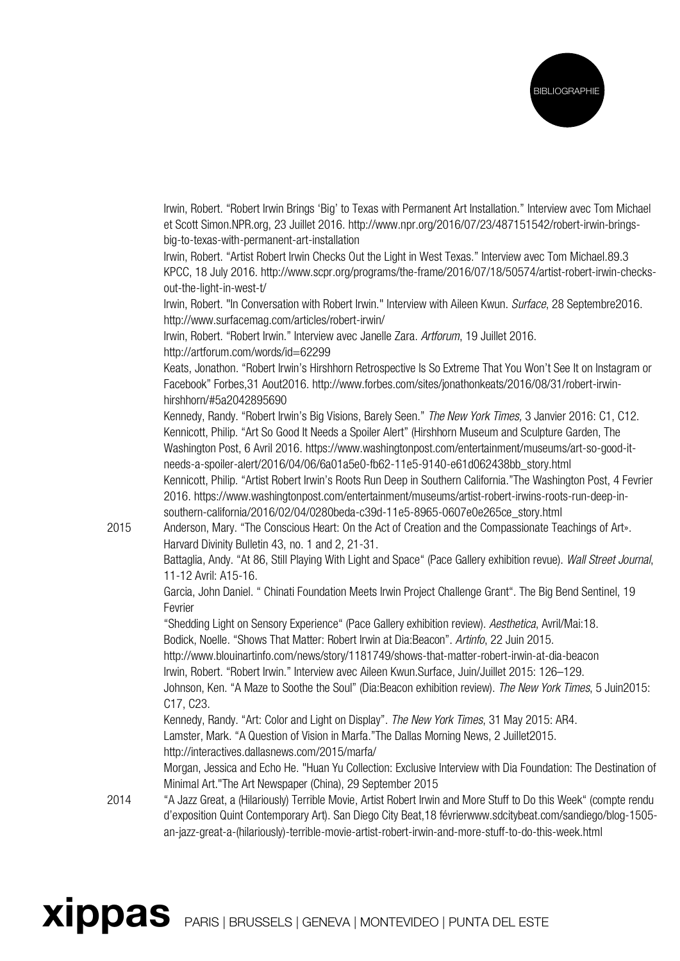

 Irwin, Robert. "Robert Irwin Brings 'Big' to Texas with Permanent Art Installation." Interview avec Tom Michael et Scott Simon.NPR.org, 23 Juillet 2016. http://www.npr.org/2016/07/23/487151542/robert-irwin-bringsbig-to-texas-with-permanent-art-installation

 Irwin, Robert. "Artist Robert Irwin Checks Out the Light in West Texas." Interview avec Tom Michael.89.3 KPCC, 18 July 2016. http://www.scpr.org/programs/the-frame/2016/07/18/50574/artist-robert-irwin-checksout-the-light-in-west-t/

Irwin, Robert. "In Conversation with Robert Irwin." Interview with Aileen Kwun. Surface, 28 Septembre2016. http://www.surfacemag.com/articles/robert-irwin/

 Irwin, Robert. "Robert Irwin." Interview avec Janelle Zara. Artforum, 19 Juillet 2016. http://artforum.com/words/id=62299

 Keats, Jonathon. "Robert Irwin's Hirshhorn Retrospective Is So Extreme That You Won't See It on Instagram or Facebook" Forbes,31 Aout2016. http://www.forbes.com/sites/jonathonkeats/2016/08/31/robert-irwinhirshhorn/#5a2042895690

Kennedy, Randy. "Robert Irwin's Big Visions, Barely Seen." The New York Times, 3 Janvier 2016: C1, C12. Kennicott, Philip. "Art So Good It Needs a Spoiler Alert" (Hirshhorn Museum and Sculpture Garden, The Washington Post, 6 Avril 2016. https://www.washingtonpost.com/entertainment/museums/art-so-good-itneeds-a-spoiler-alert/2016/04/06/6a01a5e0-fb62-11e5-9140-e61d062438bb\_story.html Kennicott, Philip. "Artist Robert Irwin's Roots Run Deep in Southern California."The Washington Post, 4 Fevrier 2016. https://www.washingtonpost.com/entertainment/museums/artist-robert-irwins-roots-run-deep-insouthern-california/2016/02/04/0280beda-c39d-11e5-8965-0607e0e265ce\_story.html

2015 Anderson, Mary. "The Conscious Heart: On the Act of Creation and the Compassionate Teachings of Art». Harvard Divinity Bulletin 43, no. 1 and 2, 21-31.

> Battaglia, Andy. "At 86, Still Playing With Light and Space" (Pace Gallery exhibition revue). Wall Street Journal, 11-12 Avril: A15-16.

 Garcia, John Daniel. " Chinati Foundation Meets Irwin Project Challenge Grant". The Big Bend Sentinel, 19 Fevrier

"Shedding Light on Sensory Experience" (Pace Gallery exhibition review). Aesthetica, Avril/Mai:18. Bodick, Noelle. "Shows That Matter: Robert Irwin at Dia:Beacon". Artinfo, 22 Juin 2015.

http://www.blouinartinfo.com/news/story/1181749/shows-that-matter-robert-irwin-at-dia-beacon Irwin, Robert. "Robert Irwin." Interview avec Aileen Kwun.Surface, Juin/Juillet 2015: 126–129.

 Johnson, Ken. "A Maze to Soothe the Soul" (Dia:Beacon exhibition review). The New York Times, 5 Juin2015: C17, C23.

Kennedy, Randy. "Art: Color and Light on Display". The New York Times, 31 May 2015: AR4.

Lamster, Mark. "A Question of Vision in Marfa."The Dallas Morning News, 2 Juillet2015.

http://interactives.dallasnews.com/2015/marfa/

Morgan, Jessica and Echo He. "Huan Yu Collection: Exclusive Interview with Dia Foundation: The Destination of Minimal Art."The Art Newspaper (China), 29 September 2015

2014 "A Jazz Great, a (Hilariously) Terrible Movie, Artist Robert Irwin and More Stuff to Do this Week" (compte rendu d'exposition Quint Contemporary Art). San Diego City Beat,18 févrierwww.sdcitybeat.com/sandiego/blog-1505 an-jazz-great-a-(hilariously)-terrible-movie-artist-robert-irwin-and-more-stuff-to-do-this-week.html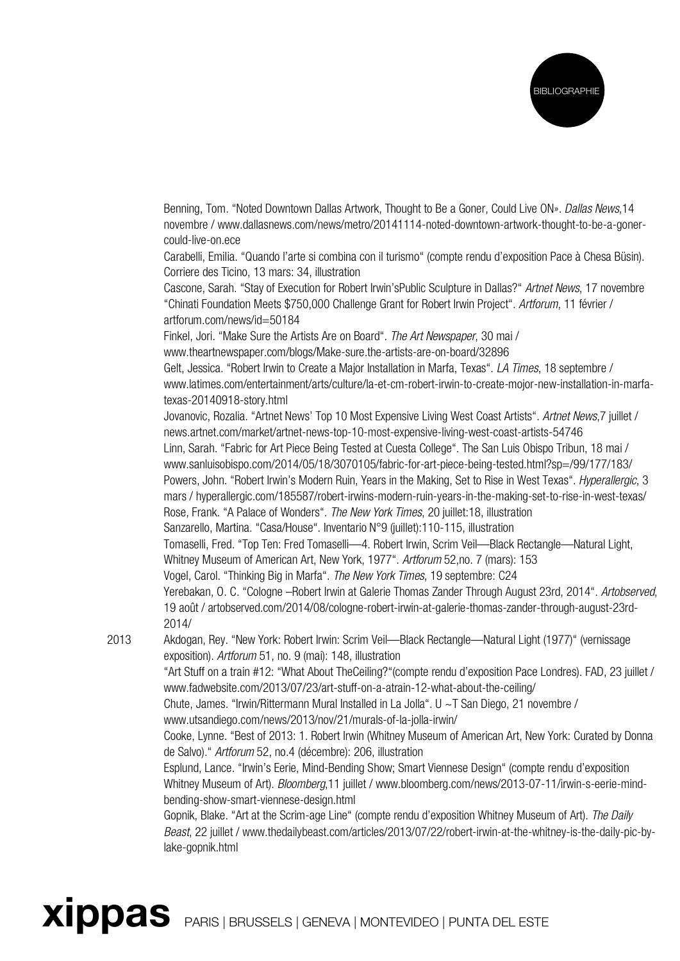

Benning, Tom. "Noted Downtown Dallas Artwork, Thought to Be a Goner, Could Live ON». Dallas News, 14 novembre / www.dallasnews.com/news/metro/20141114-noted-downtown-artwork-thought-to-be-a-gonercould-live-on.ece

 Carabelli, Emilia. "Quando l'arte si combina con il turismo" (compte rendu d'exposition Pace à Chesa Büsin). Corriere des Ticino, 13 mars: 34, illustration

Cascone, Sarah. "Stay of Execution for Robert Irwin'sPublic Sculpture in Dallas?" Artnet News, 17 novembre "Chinati Foundation Meets \$750,000 Challenge Grant for Robert Irwin Project". Artforum, 11 février / artforum.com/news/id=50184

Finkel, Jori. "Make Sure the Artists Are on Board". The Art Newspaper, 30 mai /

www.theartnewspaper.com/blogs/Make-sure.the-artists-are-on-board/32896

Gelt, Jessica. "Robert Irwin to Create a Major Installation in Marfa, Texas". LA Times, 18 septembre / www.latimes.com/entertainment/arts/culture/la-et-cm-robert-irwin-to-create-mojor-new-installation-in-marfatexas-20140918-story.html

 Jovanovic, Rozalia. "Artnet News' Top 10 Most Expensive Living West Coast Artists". Artnet News,7 juillet / news.artnet.com/market/artnet-news-top-10-most-expensive-living-west-coast-artists-54746 Linn, Sarah. "Fabric for Art Piece Being Tested at Cuesta College". The San Luis Obispo Tribun, 18 mai / www.sanluisobispo.com/2014/05/18/3070105/fabric-for-art-piece-being-tested.html?sp=/99/177/183/ Powers, John. "Robert Irwin's Modern Ruin, Years in the Making, Set to Rise in West Texas". Hyperallergic, 3 mars / hyperallergic.com/185587/robert-irwins-modern-ruin-years-in-the-making-set-to-rise-in-west-texas/ Rose, Frank. "A Palace of Wonders". The New York Times, 20 juillet:18, illustration Sanzarello, Martina. "Casa/House". Inventario N°9 (juillet):110-115, illustration Tomaselli, Fred. "Top Ten: Fred Tomaselli—4. Robert Irwin, Scrim Veil—Black Rectangle—Natural Light, Whitney Museum of American Art, New York, 1977". Artforum 52,no. 7 (mars): 153

Vogel, Carol. "Thinking Big in Marfa". The New York Times, 19 septembre: C24

Yerebakan, O. C. "Cologne –Robert Irwin at Galerie Thomas Zander Through August 23rd, 2014". Artobserved, 19 août / artobserved.com/2014/08/cologne-robert-irwin-at-galerie-thomas-zander-through-august-23rd-2014/

2013 Akdogan, Rey. "New York: Robert Irwin: Scrim Veil—Black Rectangle—Natural Light (1977)" (vernissage exposition). Artforum 51, no. 9 (mai): 148, illustration

 "Art Stuff on a train #12: "What About TheCeiling?"(compte rendu d'exposition Pace Londres). FAD, 23 juillet / www.fadwebsite.com/2013/07/23/art-stuff-on-a-atrain-12-what-about-the-ceiling/

 Chute, James. "Irwin/Rittermann Mural Installed in La Jolla". U ~T San Diego, 21 novembre / www.utsandiego.com/news/2013/nov/21/murals-of-la-jolla-irwin/

 Cooke, Lynne. "Best of 2013: 1. Robert Irwin (Whitney Museum of American Art, New York: Curated by Donna de Salvo)." Artforum 52, no.4 (décembre): 206, illustration

Esplund, Lance. "Irwin's Eerie, Mind-Bending Show; Smart Viennese Design" (compte rendu d'exposition Whitney Museum of Art). Bloomberg,11 juillet / www.bloomberg.com/news/2013-07-11/irwin-s-eerie-mindbending-show-smart-viennese-design.html

 Gopnik, Blake. "Art at the Scrim-age Line" (compte rendu d'exposition Whitney Museum of Art). The Daily Beast, 22 juillet / www.thedailybeast.com/articles/2013/07/22/robert-irwin-at-the-whitney-is-the-daily-pic-bylake-gopnik.html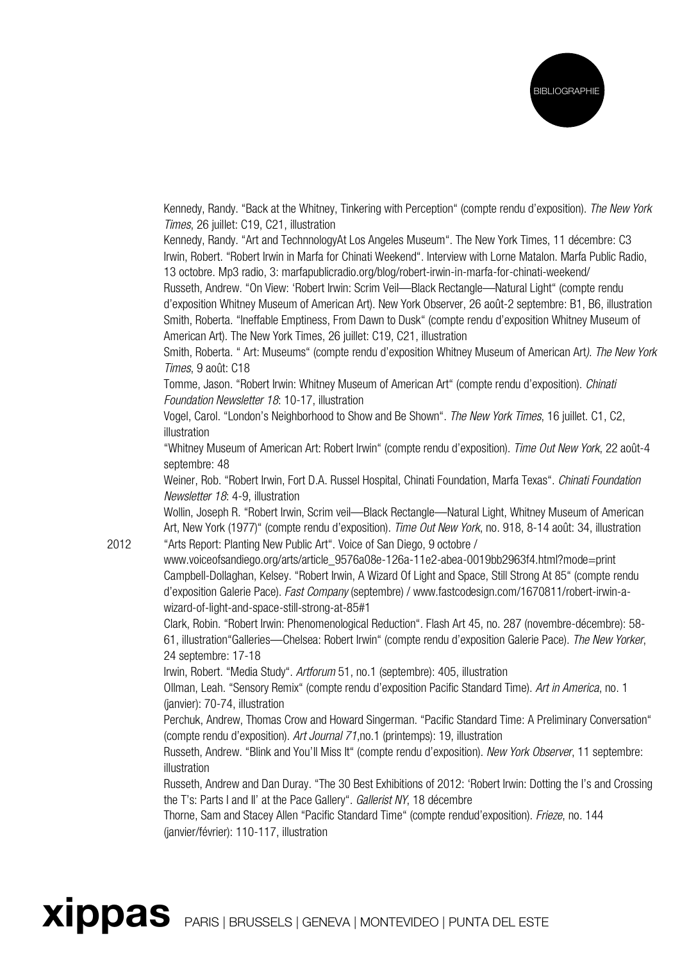

Kennedy, Randy. "Back at the Whitney, Tinkering with Perception" (compte rendu d'exposition). The New York Times, 26 juillet: C19, C21, illustration

 Kennedy, Randy. "Art and TechnnologyAt Los Angeles Museum". The New York Times, 11 décembre: C3 Irwin, Robert. "Robert Irwin in Marfa for Chinati Weekend". Interview with Lorne Matalon. Marfa Public Radio, 13 octobre. Mp3 radio, 3: marfapublicradio.org/blog/robert-irwin-in-marfa-for-chinati-weekend/

 Russeth, Andrew. "On View: 'Robert Irwin: Scrim Veil—Black Rectangle—Natural Light" (compte rendu d'exposition Whitney Museum of American Art). New York Observer, 26 août-2 septembre: B1, B6, illustration Smith, Roberta. "Ineffable Emptiness, From Dawn to Dusk" (compte rendu d'exposition Whitney Museum of American Art). The New York Times, 26 juillet: C19, C21, illustration

 Smith, Roberta. " Art: Museums" (compte rendu d'exposition Whitney Museum of American Art). The New York Times, 9 août: C18

 Tomme, Jason. "Robert Irwin: Whitney Museum of American Art" (compte rendu d'exposition). Chinati Foundation Newsletter 18: 10-17, illustration

 Vogel, Carol. "London's Neighborhood to Show and Be Shown". The New York Times, 16 juillet. C1, C2, illustration

 "Whitney Museum of American Art: Robert Irwin" (compte rendu d'exposition). Time Out New York, 22 août-4 septembre: 48

Weiner, Rob. "Robert Irwin, Fort D.A. Russel Hospital, Chinati Foundation, Marfa Texas". Chinati Foundation Newsletter 18: 4-9, illustration

 Wollin, Joseph R. "Robert Irwin, Scrim veil—Black Rectangle—Natural Light, Whitney Museum of American Art, New York (1977)" (compte rendu d'exposition). Time Out New York, no. 918, 8-14 août: 34, illustration 2012 "Arts Report: Planting New Public Art". Voice of San Diego, 9 octobre /

www.voiceofsandiego.org/arts/article\_9576a08e-126a-11e2-abea-0019bb2963f4.html?mode=print Campbell-Dollaghan, Kelsey. "Robert Irwin, A Wizard Of Light and Space, Still Strong At 85" (compte rendu d'exposition Galerie Pace). Fast Company (septembre) / www.fastcodesign.com/1670811/robert-irwin-awizard-of-light-and-space-still-strong-at-85#1

 Clark, Robin. "Robert Irwin: Phenomenological Reduction". Flash Art 45, no. 287 (novembre-décembre): 58- 61, illustration"Galleries—Chelsea: Robert Irwin" (compte rendu d'exposition Galerie Pace). The New Yorker, 24 septembre: 17-18

Irwin, Robert. "Media Study". Artforum 51, no.1 (septembre): 405, illustration

 Ollman, Leah. "Sensory Remix" (compte rendu d'exposition Pacific Standard Time). Art in America, no. 1 (janvier): 70-74, illustration

Perchuk, Andrew, Thomas Crow and Howard Singerman. "Pacific Standard Time: A Preliminary Conversation" (compte rendu d'exposition). Art Journal 71,no.1 (printemps): 19, illustration

 Russeth, Andrew. "Blink and You'll Miss It" (compte rendu d'exposition). New York Observer, 11 septembre: illustration

 Russeth, Andrew and Dan Duray. "The 30 Best Exhibitions of 2012: 'Robert Irwin: Dotting the I's and Crossing the T's: Parts I and II' at the Pace Gallery". Gallerist NY, 18 décembre

 Thorne, Sam and Stacey Allen "Pacific Standard Time" (compte rendud'exposition). Frieze, no. 144 (janvier/février): 110-117, illustration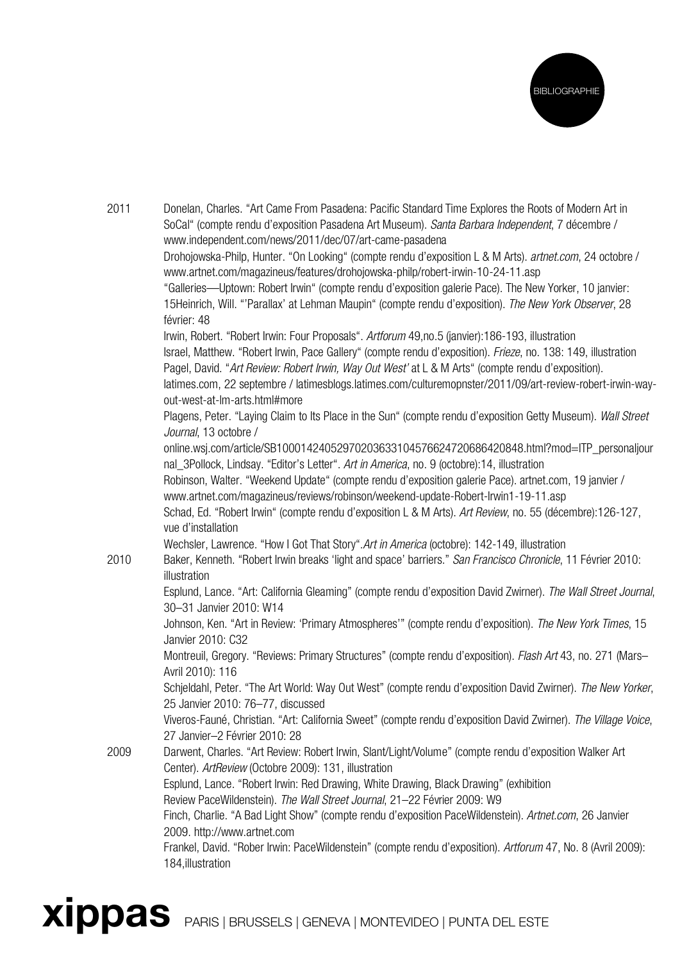

| 2011 | Donelan, Charles. "Art Came From Pasadena: Pacific Standard Time Explores the Roots of Modern Art in<br>SoCal" (compte rendu d'exposition Pasadena Art Museum). Santa Barbara Independent, 7 décembre /<br>www.independent.com/news/2011/dec/07/art-came-pasadena |
|------|-------------------------------------------------------------------------------------------------------------------------------------------------------------------------------------------------------------------------------------------------------------------|
|      | Drohojowska-Philp, Hunter. "On Looking" (compte rendu d'exposition L & M Arts). artnet.com, 24 octobre /                                                                                                                                                          |
|      | www.artnet.com/magazineus/features/drohojowska-philp/robert-irwin-10-24-11.asp                                                                                                                                                                                    |
|      | "Galleries—Uptown: Robert Irwin" (compte rendu d'exposition galerie Pace). The New Yorker, 10 janvier:<br>15Heinrich, Will. "'Parallax' at Lehman Maupin" (compte rendu d'exposition). The New York Observer, 28<br>février: 48                                   |
|      | Irwin, Robert. "Robert Irwin: Four Proposals". Artforum 49,no.5 (janvier):186-193, illustration                                                                                                                                                                   |
|      | Israel, Matthew. "Robert Irwin, Pace Gallery" (compte rendu d'exposition). Frieze, no. 138: 149, illustration                                                                                                                                                     |
|      | Pagel, David. "Art Review: Robert Irwin, Way Out West' at L & M Arts" (compte rendu d'exposition).                                                                                                                                                                |
|      | latimes.com, 22 septembre / latimesblogs.latimes.com/culturemopnster/2011/09/art-review-robert-irwin-way-<br>out-west-at-lm-arts.html#more                                                                                                                        |
|      | Plagens, Peter. "Laying Claim to Its Place in the Sun" (compte rendu d'exposition Getty Museum). Wall Street<br>Journal, 13 octobre /                                                                                                                             |
|      | online.wsj.com/article/SB10001424052970203633104576624720686420848.html?mod=ITP_personaljour<br>nal_3Pollock, Lindsay. "Editor's Letter". Art in America, no. 9 (octobre):14, illustration                                                                        |
|      | Robinson, Walter. "Weekend Update" (compte rendu d'exposition galerie Pace). artnet.com, 19 janvier /                                                                                                                                                             |
|      | www.artnet.com/magazineus/reviews/robinson/weekend-update-Robert-Irwin1-19-11.asp                                                                                                                                                                                 |
|      | Schad, Ed. "Robert Irwin" (compte rendu d'exposition L & M Arts). Art Review, no. 55 (décembre):126-127,<br>vue d'installation                                                                                                                                    |
|      | Wechsler, Lawrence. "How I Got That Story". Art in America (octobre): 142-149, illustration                                                                                                                                                                       |
| 2010 | Baker, Kenneth. "Robert Irwin breaks 'light and space' barriers." San Francisco Chronicle, 11 Février 2010:<br>illustration                                                                                                                                       |
|      | Esplund, Lance. "Art: California Gleaming" (compte rendu d'exposition David Zwirner). The Wall Street Journal,<br>30-31 Janvier 2010: W14                                                                                                                         |
|      | Johnson, Ken. "Art in Review: 'Primary Atmospheres'" (compte rendu d'exposition). The New York Times, 15<br>Janvier 2010: C32                                                                                                                                     |
|      | Montreuil, Gregory. "Reviews: Primary Structures" (compte rendu d'exposition). Flash Art 43, no. 271 (Mars-<br>Avril 2010): 116                                                                                                                                   |
|      | Schjeldahl, Peter. "The Art World: Way Out West" (compte rendu d'exposition David Zwirner). The New Yorker,<br>25 Janvier 2010: 76-77, discussed                                                                                                                  |
|      | Viveros-Fauné, Christian. "Art: California Sweet" (compte rendu d'exposition David Zwirner). The Village Voice,<br>27 Janvier-2 Février 2010: 28                                                                                                                  |
| 2009 | Darwent, Charles. "Art Review: Robert Irwin, Slant/Light/Volume" (compte rendu d'exposition Walker Art<br>Center). ArtReview (Octobre 2009): 131, illustration                                                                                                    |
|      | Esplund, Lance. "Robert Irwin: Red Drawing, White Drawing, Black Drawing" (exhibition                                                                                                                                                                             |
|      | Review PaceWildenstein). The Wall Street Journal, 21-22 Février 2009: W9                                                                                                                                                                                          |
|      | Finch, Charlie. "A Bad Light Show" (compte rendu d'exposition PaceWildenstein). Artnet.com, 26 Janvier<br>2009. http://www.artnet.com                                                                                                                             |
|      | Frankel, David. "Rober Irwin: PaceWildenstein" (compte rendu d'exposition). Artforum 47, No. 8 (Avril 2009):<br>184, illustration                                                                                                                                 |
|      |                                                                                                                                                                                                                                                                   |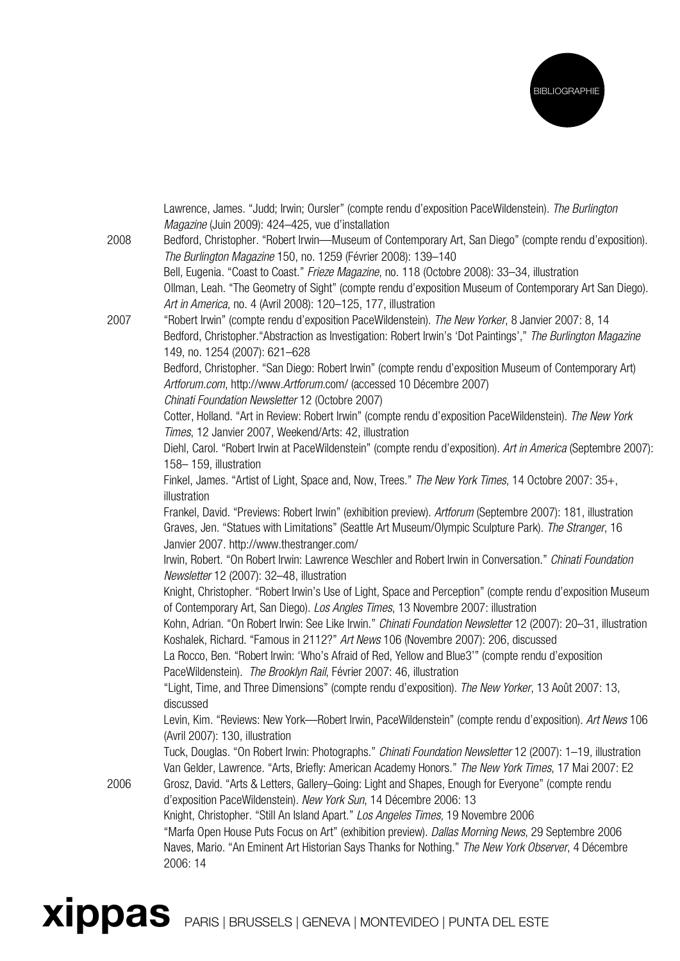

|      | Lawrence, James. "Judd; Irwin; Oursler" (compte rendu d'exposition PaceWildenstein). The Burlington<br>Magazine (Juin 2009): 424-425, vue d'installation                                                                                                                   |
|------|----------------------------------------------------------------------------------------------------------------------------------------------------------------------------------------------------------------------------------------------------------------------------|
| 2008 | Bedford, Christopher. "Robert Irwin-Museum of Contemporary Art, San Diego" (compte rendu d'exposition).<br>The Burlington Magazine 150, no. 1259 (Février 2008): 139-140                                                                                                   |
|      | Bell, Eugenia. "Coast to Coast." Frieze Magazine, no. 118 (Octobre 2008): 33-34, illustration<br>Ollman, Leah. "The Geometry of Sight" (compte rendu d'exposition Museum of Contemporary Art San Diego).<br>Art in America, no. 4 (Avril 2008): 120-125, 177, illustration |
| 2007 | "Robert Irwin" (compte rendu d'exposition PaceWildenstein). The New Yorker, 8 Janvier 2007: 8, 14<br>Bedford, Christopher."Abstraction as Investigation: Robert Irwin's 'Dot Paintings'," The Burlington Magazine                                                          |
|      | 149, no. 1254 (2007): 621-628<br>Bedford, Christopher. "San Diego: Robert Irwin" (compte rendu d'exposition Museum of Contemporary Art)<br>Artforum.com, http://www.Artforum.com/ (accessed 10 Décembre 2007)                                                              |
|      | Chinati Foundation Newsletter 12 (Octobre 2007)<br>Cotter, Holland. "Art in Review: Robert Irwin" (compte rendu d'exposition PaceWildenstein). The New York<br>Times, 12 Janvier 2007, Weekend/Arts: 42, illustration                                                      |
|      | Diehl, Carol. "Robert Irwin at PaceWildenstein" (compte rendu d'exposition). Art in America (Septembre 2007):<br>158-159, illustration                                                                                                                                     |
|      | Finkel, James. "Artist of Light, Space and, Now, Trees." The New York Times, 14 Octobre 2007: 35+,<br>illustration                                                                                                                                                         |
|      | Frankel, David. "Previews: Robert Irwin" (exhibition preview). Artforum (Septembre 2007): 181, illustration<br>Graves, Jen. "Statues with Limitations" (Seattle Art Museum/Olympic Sculpture Park). The Stranger, 16                                                       |
|      | Janvier 2007. http://www.thestranger.com/<br>Irwin, Robert. "On Robert Irwin: Lawrence Weschler and Robert Irwin in Conversation." Chinati Foundation<br>Newsletter 12 (2007): 32-48, illustration                                                                         |
|      | Knight, Christopher. "Robert Irwin's Use of Light, Space and Perception" (compte rendu d'exposition Museum<br>of Contemporary Art, San Diego). Los Angles Times, 13 Novembre 2007: illustration                                                                            |
|      | Kohn, Adrian. "On Robert Irwin: See Like Irwin." Chinati Foundation Newsletter 12 (2007): 20-31, illustration<br>Koshalek, Richard. "Famous in 2112?" Art News 106 (Novembre 2007): 206, discussed                                                                         |
|      | La Rocco, Ben. "Robert Irwin: 'Who's Afraid of Red, Yellow and Blue3'" (compte rendu d'exposition<br>PaceWildenstein). The Brooklyn Rail, Février 2007: 46, illustration                                                                                                   |
|      | "Light, Time, and Three Dimensions" (compte rendu d'exposition). The New Yorker, 13 Août 2007: 13,<br>discussed                                                                                                                                                            |
|      | Levin, Kim. "Reviews: New York—Robert Irwin, PaceWildenstein" (compte rendu d'exposition). Art News 106<br>(Avril 2007): 130, illustration                                                                                                                                 |
|      | Tuck, Douglas. "On Robert Irwin: Photographs." Chinati Foundation Newsletter 12 (2007): 1-19, illustration<br>Van Gelder, Lawrence. "Arts, Briefly: American Academy Honors." The New York Times, 17 Mai 2007: E2                                                          |
| 2006 | Grosz, David. "Arts & Letters, Gallery-Going: Light and Shapes, Enough for Everyone" (compte rendu<br>d'exposition PaceWildenstein). New York Sun, 14 Décembre 2006: 13                                                                                                    |
|      | Knight, Christopher. "Still An Island Apart." Los Angeles Times, 19 Novembre 2006                                                                                                                                                                                          |
|      | "Marfa Open House Puts Focus on Art" (exhibition preview). Dallas Morning News, 29 Septembre 2006<br>Naves, Mario. "An Eminent Art Historian Says Thanks for Nothing." The New York Observer, 4 Décembre<br>2006: 14                                                       |
|      |                                                                                                                                                                                                                                                                            |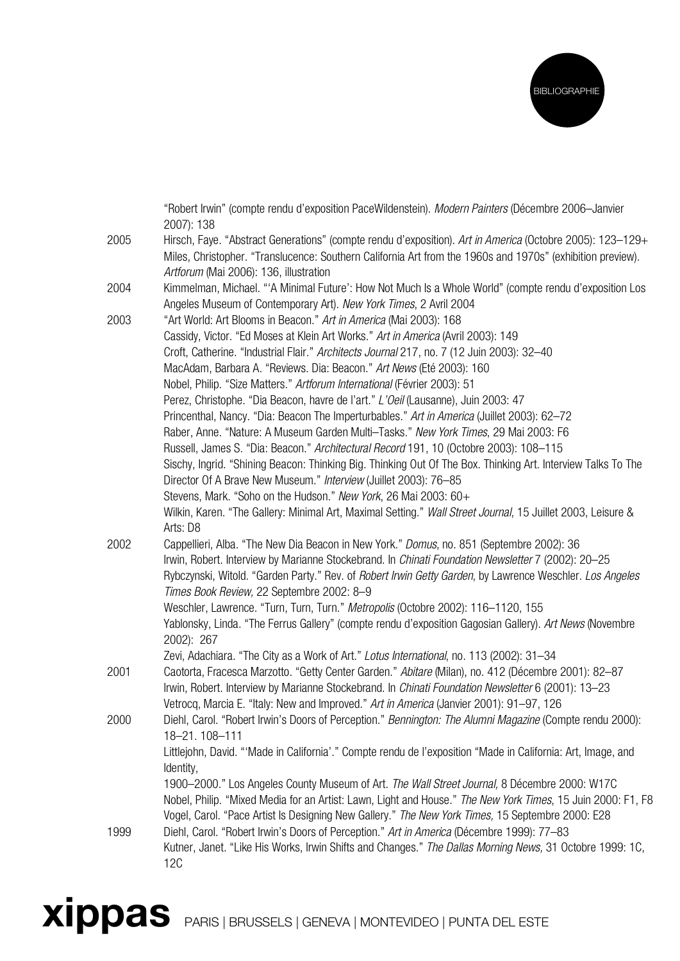

|      | "Robert Irwin" (compte rendu d'exposition PaceWildenstein). Modern Painters (Décembre 2006-Janvier<br>2007): 138                                                                                                                                                  |
|------|-------------------------------------------------------------------------------------------------------------------------------------------------------------------------------------------------------------------------------------------------------------------|
| 2005 | Hirsch, Faye. "Abstract Generations" (compte rendu d'exposition). Art in America (Octobre 2005): 123-129+<br>Miles, Christopher. "Translucence: Southern California Art from the 1960s and 1970s" (exhibition preview).<br>Artforum (Mai 2006): 136, illustration |
| 2004 | Kimmelman, Michael. "'A Minimal Future': How Not Much Is a Whole World" (compte rendu d'exposition Los<br>Angeles Museum of Contemporary Art). New York Times, 2 Avril 2004                                                                                       |
| 2003 | "Art World: Art Blooms in Beacon." Art in America (Mai 2003): 168                                                                                                                                                                                                 |
|      | Cassidy, Victor. "Ed Moses at Klein Art Works." Art in America (Avril 2003): 149<br>Croft, Catherine. "Industrial Flair." Architects Journal 217, no. 7 (12 Juin 2003): 32-40                                                                                     |
|      | MacAdam, Barbara A. "Reviews. Dia: Beacon." Art News (Eté 2003): 160                                                                                                                                                                                              |
|      | Nobel, Philip. "Size Matters." Artforum International (Février 2003): 51                                                                                                                                                                                          |
|      | Perez, Christophe. "Dia Beacon, havre de l'art." L'Oeil (Lausanne), Juin 2003: 47                                                                                                                                                                                 |
|      | Princenthal, Nancy. "Dia: Beacon The Imperturbables." Art in America (Juillet 2003): 62-72                                                                                                                                                                        |
|      | Raber, Anne. "Nature: A Museum Garden Multi-Tasks." New York Times, 29 Mai 2003: F6                                                                                                                                                                               |
|      | Russell, James S. "Dia: Beacon." Architectural Record 191, 10 (Octobre 2003): 108-115<br>Sischy, Ingrid. "Shining Beacon: Thinking Big. Thinking Out Of The Box. Thinking Art. Interview Talks To The                                                             |
|      | Director Of A Brave New Museum." Interview (Juillet 2003): 76-85                                                                                                                                                                                                  |
|      | Stevens, Mark. "Soho on the Hudson." New York, 26 Mai 2003: 60+                                                                                                                                                                                                   |
|      | Wilkin, Karen. "The Gallery: Minimal Art, Maximal Setting." Wall Street Journal, 15 Juillet 2003, Leisure &<br>Arts: D8                                                                                                                                           |
| 2002 | Cappellieri, Alba. "The New Dia Beacon in New York." Domus, no. 851 (Septembre 2002): 36                                                                                                                                                                          |
|      | Irwin, Robert. Interview by Marianne Stockebrand. In Chinati Foundation Newsletter 7 (2002): 20-25<br>Rybczynski, Witold. "Garden Party." Rev. of Robert Irwin Getty Garden, by Lawrence Weschler. Los Angeles                                                    |
|      | Times Book Review, 22 Septembre 2002: 8-9                                                                                                                                                                                                                         |
|      | Weschler, Lawrence. "Turn, Turn, Turn." Metropolis (Octobre 2002): 116-1120, 155<br>Yablonsky, Linda. "The Ferrus Gallery" (compte rendu d'exposition Gagosian Gallery). Art News (Novembre                                                                       |
|      | 2002): 267                                                                                                                                                                                                                                                        |
|      | Zevi, Adachiara. "The City as a Work of Art." Lotus International, no. 113 (2002): 31-34                                                                                                                                                                          |
| 2001 | Caotorta, Fracesca Marzotto. "Getty Center Garden." Abitare (Milan), no. 412 (Décembre 2001): 82-87                                                                                                                                                               |
|      | Irwin, Robert. Interview by Marianne Stockebrand. In <i>Chinati Foundation Newsletter</i> 6 (2001): 13-23                                                                                                                                                         |
|      | Vetrocq, Marcia E. "Italy: New and Improved." Art in America (Janvier 2001): 91-97, 126                                                                                                                                                                           |
| 2000 | Diehl, Carol. "Robert Irwin's Doors of Perception." Bennington: The Alumni Magazine (Compte rendu 2000):                                                                                                                                                          |
|      | 18-21.108-111<br>Littlejohn, David. "'Made in California'." Compte rendu de l'exposition "Made in California: Art, Image, and                                                                                                                                     |
|      | Identity,                                                                                                                                                                                                                                                         |
|      | 1900-2000." Los Angeles County Museum of Art. The Wall Street Journal, 8 Décembre 2000: W17C                                                                                                                                                                      |
|      | Nobel, Philip. "Mixed Media for an Artist: Lawn, Light and House." The New York Times, 15 Juin 2000: F1, F8<br>Vogel, Carol. "Pace Artist Is Designing New Gallery." The New York Times, 15 Septembre 2000: E28                                                   |
| 1999 | Diehl, Carol. "Robert Irwin's Doors of Perception." Art in America (Décembre 1999): 77-83                                                                                                                                                                         |
|      | Kutner, Janet. "Like His Works, Irwin Shifts and Changes." The Dallas Morning News, 31 Octobre 1999: 1C,<br><b>12C</b>                                                                                                                                            |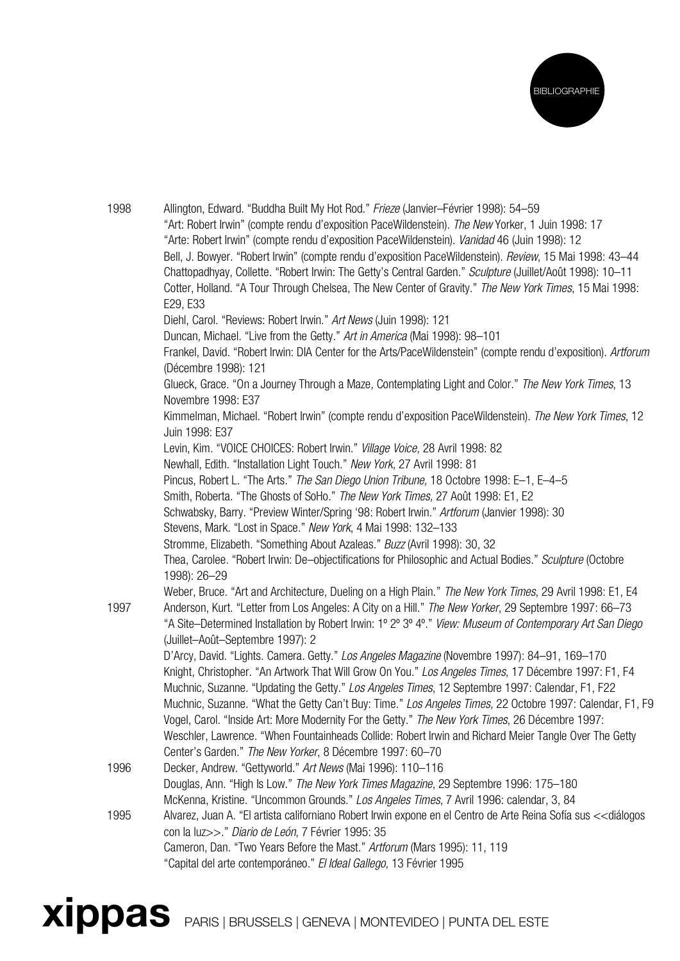

| 1998 | Allington, Edward. "Buddha Built My Hot Rod." Frieze (Janvier-Février 1998): 54-59<br>"Art: Robert Irwin" (compte rendu d'exposition PaceWildenstein). The New Yorker, 1 Juin 1998: 17<br>"Arte: Robert Irwin" (compte rendu d'exposition PaceWildenstein). Vanidad 46 (Juin 1998): 12<br>Bell, J. Bowyer. "Robert Irwin" (compte rendu d'exposition PaceWildenstein). Review, 15 Mai 1998: 43-44<br>Chattopadhyay, Collette. "Robert Irwin: The Getty's Central Garden." Sculpture (Juillet/Août 1998): 10-11<br>Cotter, Holland. "A Tour Through Chelsea, The New Center of Gravity." The New York Times, 15 Mai 1998:<br>E29, E33 |
|------|--------------------------------------------------------------------------------------------------------------------------------------------------------------------------------------------------------------------------------------------------------------------------------------------------------------------------------------------------------------------------------------------------------------------------------------------------------------------------------------------------------------------------------------------------------------------------------------------------------------------------------------|
|      | Diehl, Carol. "Reviews: Robert Irwin." Art News (Juin 1998): 121                                                                                                                                                                                                                                                                                                                                                                                                                                                                                                                                                                     |
|      | Duncan, Michael. "Live from the Getty." Art in America (Mai 1998): 98-101                                                                                                                                                                                                                                                                                                                                                                                                                                                                                                                                                            |
|      | Frankel, David. "Robert Irwin: DIA Center for the Arts/PaceWildenstein" (compte rendu d'exposition). Artforum<br>(Décembre 1998): 121                                                                                                                                                                                                                                                                                                                                                                                                                                                                                                |
|      | Glueck, Grace. "On a Journey Through a Maze, Contemplating Light and Color." The New York Times, 13<br>Novembre 1998: E37                                                                                                                                                                                                                                                                                                                                                                                                                                                                                                            |
|      | Kimmelman, Michael. "Robert Irwin" (compte rendu d'exposition PaceWildenstein). The New York Times, 12<br>Juin 1998: E37                                                                                                                                                                                                                                                                                                                                                                                                                                                                                                             |
|      | Levin, Kim. "VOICE CHOICES: Robert Irwin." Village Voice, 28 Avril 1998: 82                                                                                                                                                                                                                                                                                                                                                                                                                                                                                                                                                          |
|      | Newhall, Edith. "Installation Light Touch." New York, 27 Avril 1998: 81                                                                                                                                                                                                                                                                                                                                                                                                                                                                                                                                                              |
|      | Pincus, Robert L. "The Arts." The San Diego Union Tribune, 18 Octobre 1998: E-1, E-4-5                                                                                                                                                                                                                                                                                                                                                                                                                                                                                                                                               |
|      | Smith, Roberta. "The Ghosts of SoHo." The New York Times, 27 Août 1998: E1, E2                                                                                                                                                                                                                                                                                                                                                                                                                                                                                                                                                       |
|      | Schwabsky, Barry. "Preview Winter/Spring '98: Robert Irwin." Artforum (Janvier 1998): 30                                                                                                                                                                                                                                                                                                                                                                                                                                                                                                                                             |
|      | Stevens, Mark. "Lost in Space." New York, 4 Mai 1998: 132-133                                                                                                                                                                                                                                                                                                                                                                                                                                                                                                                                                                        |
|      | Stromme, Elizabeth. "Something About Azaleas." Buzz (Avril 1998): 30, 32<br>Thea, Carolee. "Robert Irwin: De-objectifications for Philosophic and Actual Bodies." Sculpture (Octobre                                                                                                                                                                                                                                                                                                                                                                                                                                                 |
|      | 1998): 26-29                                                                                                                                                                                                                                                                                                                                                                                                                                                                                                                                                                                                                         |
|      | Weber, Bruce. "Art and Architecture, Dueling on a High Plain." The New York Times, 29 Avril 1998: E1, E4                                                                                                                                                                                                                                                                                                                                                                                                                                                                                                                             |
| 1997 | Anderson, Kurt. "Letter from Los Angeles: A City on a Hill." The New Yorker, 29 Septembre 1997: 66-73<br>"A Site-Determined Installation by Robert Irwin: 1º 2º 3º 4º." View: Museum of Contemporary Art San Diego                                                                                                                                                                                                                                                                                                                                                                                                                   |
|      | (Juillet-Août-Septembre 1997): 2                                                                                                                                                                                                                                                                                                                                                                                                                                                                                                                                                                                                     |
|      | D'Arcy, David. "Lights. Camera. Getty." Los Angeles Magazine (Novembre 1997): 84-91, 169-170<br>Knight, Christopher. "An Artwork That Will Grow On You." Los Angeles Times, 17 Décembre 1997: F1, F4                                                                                                                                                                                                                                                                                                                                                                                                                                 |
|      | Muchnic, Suzanne. "Updating the Getty." Los Angeles Times, 12 Septembre 1997: Calendar, F1, F22<br>Muchnic, Suzanne. "What the Getty Can't Buy: Time." Los Angeles Times, 22 Octobre 1997: Calendar, F1, F9<br>Vogel, Carol. "Inside Art: More Modernity For the Getty." The New York Times, 26 Décembre 1997:<br>Weschler, Lawrence. "When Fountainheads Collide: Robert Irwin and Richard Meier Tangle Over The Getty<br>Center's Garden." The New Yorker, 8 Décembre 1997: 60-70                                                                                                                                                  |
| 1996 | Decker, Andrew. "Gettyworld." Art News (Mai 1996): 110-116<br>Douglas, Ann. "High Is Low." The New York Times Magazine, 29 Septembre 1996: 175-180                                                                                                                                                                                                                                                                                                                                                                                                                                                                                   |
| 1995 | McKenna, Kristine. "Uncommon Grounds." Los Angeles Times, 7 Avril 1996: calendar, 3, 84<br>Alvarez, Juan A. "El artista californiano Robert Irwin expone en el Centro de Arte Reina Sofía sus < <diálogos<br>con la luz&gt;&gt;." Diario de León, 7 Février 1995: 35<br/>Cameron, Dan. "Two Years Before the Mast." Artforum (Mars 1995): 11, 119<br/>"Capital del arte contemporáneo." El Ideal Gallego, 13 Février 1995</diálogos<br>                                                                                                                                                                                              |
|      |                                                                                                                                                                                                                                                                                                                                                                                                                                                                                                                                                                                                                                      |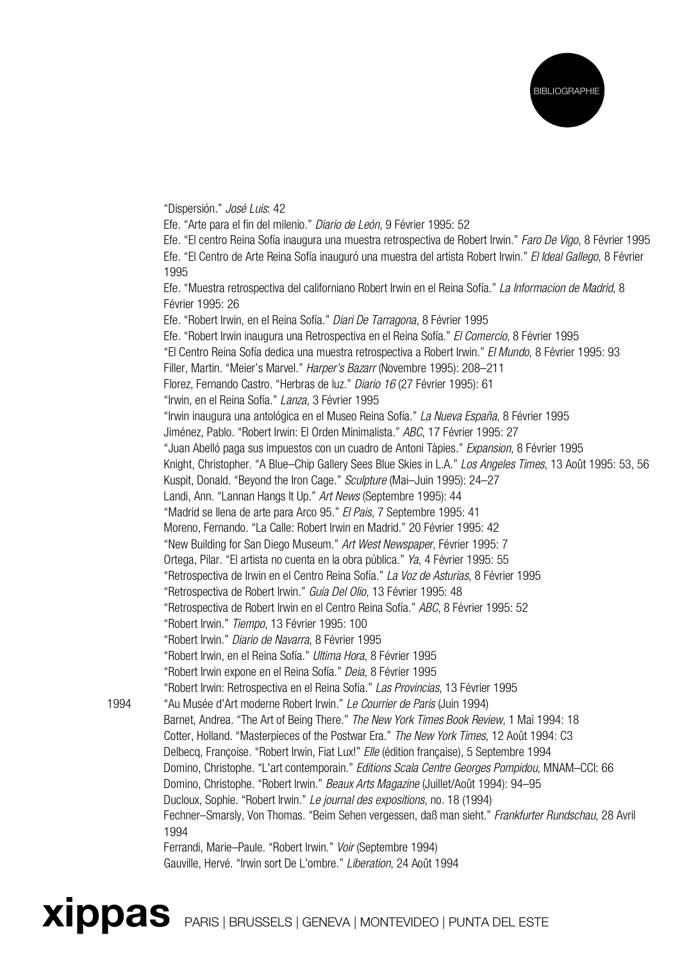

"Dispersión." José Luis: 42

Efe. "Arte para el fin del milenio." Diario de León, 9 Février 1995: 52

Efe. "El centro Reina Sofía inaugura una muestra retrospectiva de Robert Irwin." Faro De Vigo, 8 Février 1995 Efe. "El Centro de Arte Reina Sofía inauguró una muestra del artista Robert Irwin." El Ideal Gallego, 8 Février 1995

Efe. "Muestra retrospectiva del californiano Robert Irwin en el Reina Sofía." La Informacion de Madrid, 8 Février 1995: 26

Efe. "Robert Irwin, en el Reina Sofía." Diari De Tarragona, 8 Février 1995

Efe. "Robert Irwin inaugura una Retrospectiva en el Reina Sofía." El Comercio, 8 Février 1995

"El Centro Reina Sofía dedica una muestra retrospectiva a Robert Irwin." El Mundo, 8 Février 1995: 93

Filler, Martin. "Meier's Marvel." Harper's Bazarr (Novembre 1995): 208–211

Florez, Fernando Castro. "Herbras de luz." Diario 16 (27 Février 1995): 61

"Irwin, en el Reina Sofía." Lanza, 3 Février 1995

"Irwin inaugura una antológica en el Museo Reina Sofía." La Nueva España, 8 Février 1995

Jiménez, Pablo. "Robert Irwin: El Orden Minimalista." ABC, 17 Février 1995: 27

"Juan Abelló paga sus impuestos con un cuadro de Antoni Tàpies." Expansion, 8 Février 1995

Knight, Christopher. "A Blue–Chip Gallery Sees Blue Skies in L.A." Los Angeles Times, 13 Août 1995: 53, 56

Kuspit, Donald. "Beyond the Iron Cage." Sculpture (Mai–Juin 1995): 24–27

Landi, Ann. "Lannan Hangs It Up." Art News (Septembre 1995): 44

"Madrid se llena de arte para Arco 95." El Pais, 7 Septembre 1995: 41

Moreno, Fernando. "La Calle: Robert Irwin en Madrid." 20 Février 1995: 42

"New Building for San Diego Museum." Art West Newspaper, Février 1995: 7

Ortega, Pilar. "El artista no cuenta en la obra pública." Ya, 4 Février 1995: 55

"Retrospectiva de Irwin en el Centro Reina Sofía." La Voz de Asturias, 8 Février 1995

"Retrospectiva de Robert Irwin." Guía Del Olio, 13 Février 1995: 48

"Retrospectiva de Robert Irwin en el Centro Reina Sofía." ABC, 8 Février 1995: 52

"Robert Irwin." Tiempo, 13 Février 1995: 100

"Robert Irwin." Diario de Navarra, 8 Février 1995

"Robert Irwin, en el Reina Sofía." Ultima Hora, 8 Février 1995

"Robert Irwin expone en el Reina Sofía." Deia, 8 Février 1995

"Robert Irwin: Retrospectiva en el Reina Sofía." Las Provincias, 13 Février 1995

1994 "Au Musée d'Art moderne Robert Irwin." Le Courrier de Paris (Juin 1994)

Barnet, Andrea. "The Art of Being There." The New York Times Book Review, 1 Mai 1994: 18 Cotter, Holland. "Masterpieces of the Postwar Era." The New York Times, 12 Août 1994: C3 Delbecq, Françoise. "Robert Irwin, Fiat Lux!" Elle (édition française), 5 Septembre 1994 Domino, Christophe. "L'art contemporain." Editions Scala Centre Georges Pompidou, MNAM–CCI: 66 Domino, Christophe. "Robert Irwin." Beaux Arts Magazine (Juillet/Août 1994): 94-95 Ducloux, Sophie. "Robert Irwin." Le journal des expositions, no. 18 (1994) Fechner–Smarsly, Von Thomas. "Beim Sehen vergessen, daß man sieht." Frankfurter Rundschau, 28 Avril 1994

Ferrandi, Marie–Paule. "Robert Irwin." Voir (Septembre 1994)

Gauville, Hervé. "Irwin sort De L'ombre." Liberation, 24 Août 1994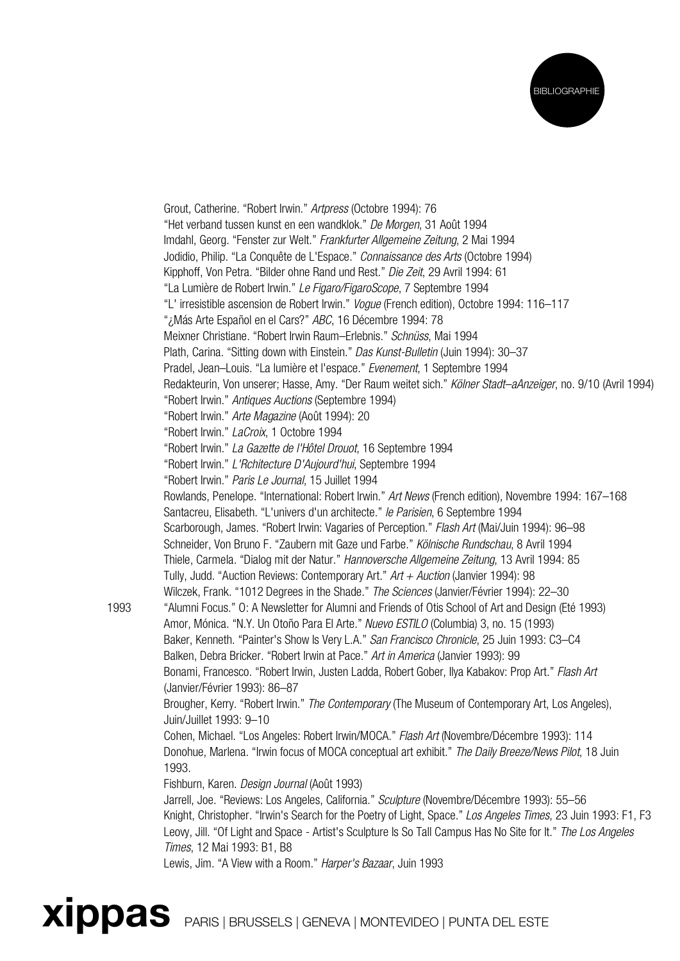

Grout, Catherine. "Robert Irwin." Artpress (Octobre 1994): 76 "Het verband tussen kunst en een wandklok." De Morgen, 31 Août 1994 Imdahl, Georg. "Fenster zur Welt." Frankfurter Allgemeine Zeitung, 2 Mai 1994 Jodidio, Philip. "La Conquête de L'Espace." Connaissance des Arts (Octobre 1994) Kipphoff, Von Petra. "Bilder ohne Rand und Rest." Die Zeit, 29 Avril 1994: 61 "La Lumière de Robert Irwin." Le Figaro/FigaroScope, 7 Septembre 1994 "L' irresistible ascension de Robert Irwin." Vogue (French edition), Octobre 1994: 116–117 "¿Más Arte Español en el Cars?" ABC, 16 Décembre 1994: 78 Meixner Christiane. "Robert Irwin Raum–Erlebnis." Schnüss, Mai 1994 Plath, Carina. "Sitting down with Einstein." Das Kunst-Bulletin (Juin 1994): 30-37 Pradel, Jean–Louis. "La lumière et l'espace." Evenement, 1 Septembre 1994 Redakteurin, Von unserer; Hasse, Amy. "Der Raum weitet sich." Kölner Stadt–aAnzeiger, no. 9/10 (Avril 1994) "Robert Irwin." Antiques Auctions (Septembre 1994) "Robert Irwin." Arte Magazine (Août 1994): 20 "Robert Irwin." LaCroix, 1 Octobre 1994 "Robert Irwin." La Gazette de l'Hôtel Drouot, 16 Septembre 1994 "Robert Irwin." L'Rchitecture D'Aujourd'hui, Septembre 1994 "Robert Irwin." Paris Le Journal, 15 Juillet 1994 Rowlands, Penelope. "International: Robert Irwin." Art News (French edition), Novembre 1994: 167–168 Santacreu, Elisabeth. "L'univers d'un architecte." le Parisien, 6 Septembre 1994 Scarborough, James. "Robert Irwin: Vagaries of Perception." Flash Art (Mai/Juin 1994): 96–98 Schneider, Von Bruno F. "Zaubern mit Gaze und Farbe." Kölnische Rundschau, 8 Avril 1994 Thiele, Carmela. "Dialog mit der Natur." Hannoversche Allgemeine Zeitung, 13 Avril 1994: 85 Tully, Judd. "Auction Reviews: Contemporary Art."  $Art + Auction$  (Janvier 1994): 98 Wilczek, Frank. "1012 Degrees in the Shade." The Sciences (Janvier/Février 1994): 22-30 1993 "Alumni Focus." O: A Newsletter for Alumni and Friends of Otis School of Art and Design (Eté 1993) Amor, Mónica. "N.Y. Un Otoño Para El Arte." Nuevo ESTILO (Columbia) 3, no. 15 (1993) Baker, Kenneth. "Painter's Show Is Very L.A." San Francisco Chronicle, 25 Juin 1993: C3-C4 Balken, Debra Bricker. "Robert Irwin at Pace." Art in America (Janvier 1993): 99 Bonami, Francesco. "Robert Irwin, Justen Ladda, Robert Gober, Ilya Kabakov: Prop Art." Flash Art (Janvier/Février 1993): 86–87 Brougher, Kerry. "Robert Irwin." The Contemporary (The Museum of Contemporary Art, Los Angeles), Juin/Juillet 1993: 9–10 Cohen, Michael. "Los Angeles: Robert Irwin/MOCA." Flash Art (Novembre/Décembre 1993): 114 Donohue, Marlena. "Irwin focus of MOCA conceptual art exhibit." The Daily Breeze/News Pilot, 18 Juin 1993. Fishburn, Karen. Design Journal (Août 1993) Jarrell, Joe. "Reviews: Los Angeles, California." Sculpture (Novembre/Décembre 1993): 55-56 Knight, Christopher. "Irwin's Search for the Poetry of Light, Space." Los Angeles Times, 23 Juin 1993: F1, F3 Leovy, Jill. "Of Light and Space - Artist's Sculpture Is So Tall Campus Has No Site for It." The Los Angeles Times, 12 Mai 1993: B1, B8 Lewis, Jim. "A View with a Room." Harper's Bazaar, Juin 1993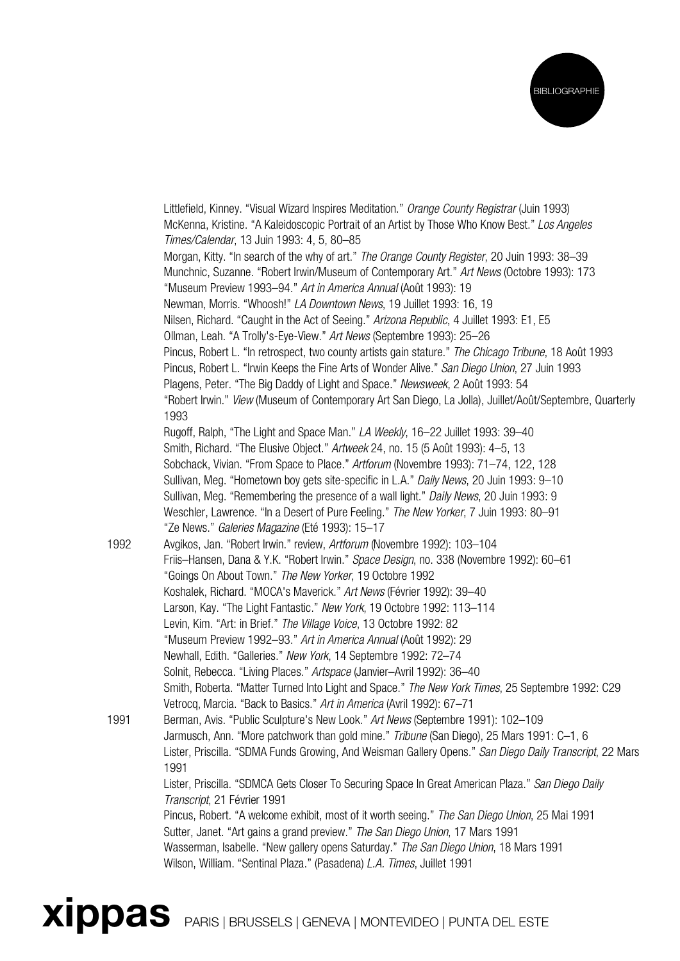

Littlefield, Kinney. "Visual Wizard Inspires Meditation." Orange County Registrar (Juin 1993) McKenna, Kristine. "A Kaleidoscopic Portrait of an Artist by Those Who Know Best." Los Angeles Times/Calendar, 13 Juin 1993: 4, 5, 80–85 Morgan, Kitty. "In search of the why of art." The Orange County Register, 20 Juin 1993: 38-39 Munchnic, Suzanne. "Robert Irwin/Museum of Contemporary Art." Art News (Octobre 1993): 173 "Museum Preview 1993–94." Art in America Annual (Août 1993): 19 Newman, Morris. "Whoosh!" LA Downtown News, 19 Juillet 1993: 16, 19 Nilsen, Richard. "Caught in the Act of Seeing." Arizona Republic, 4 Juillet 1993: E1, E5 Ollman, Leah. "A Trolly's-Eye-View." Art News (Septembre 1993): 25–26 Pincus, Robert L. "In retrospect, two county artists gain stature." The Chicago Tribune, 18 Août 1993 Pincus, Robert L. "Irwin Keeps the Fine Arts of Wonder Alive." San Diego Union, 27 Juin 1993 Plagens, Peter. "The Big Daddy of Light and Space." Newsweek, 2 Août 1993: 54 "Robert Irwin." View (Museum of Contemporary Art San Diego, La Jolla), Juillet/Août/Septembre, Quarterly 1993 Rugoff, Ralph, "The Light and Space Man." LA Weekly, 16–22 Juillet 1993: 39–40 Smith, Richard. "The Elusive Object." Artweek 24, no. 15 (5 Août 1993): 4–5, 13 Sobchack, Vivian. "From Space to Place." Artforum (Novembre 1993): 71–74, 122, 128 Sullivan, Meg. "Hometown boy gets site-specific in L.A." Daily News, 20 Juin 1993: 9–10 Sullivan, Meg. "Remembering the presence of a wall light." Daily News, 20 Juin 1993: 9 Weschler, Lawrence. "In a Desert of Pure Feeling." The New Yorker, 7 Juin 1993: 80–91 "Ze News." Galeries Magazine (Eté 1993): 15–17 1992 Avgikos, Jan. "Robert Irwin." review, Artforum (Novembre 1992): 103–104 Friis–Hansen, Dana & Y.K. "Robert Irwin." Space Design, no. 338 (Novembre 1992): 60–61 "Goings On About Town." The New Yorker, 19 Octobre 1992 Koshalek, Richard. "MOCA's Maverick." Art News (Février 1992): 39–40 Larson, Kay. "The Light Fantastic." New York, 19 Octobre 1992: 113–114 Levin, Kim. "Art: in Brief." The Village Voice, 13 Octobre 1992: 82 "Museum Preview 1992–93." Art in America Annual (Août 1992): 29 Newhall, Edith. "Galleries." New York, 14 Septembre 1992: 72–74 Solnit, Rebecca. "Living Places." Artspace (Janvier–Avril 1992): 36–40 Smith, Roberta. "Matter Turned Into Light and Space." The New York Times, 25 Septembre 1992: C29 Vetrocq, Marcia. "Back to Basics." Art in America (Avril 1992): 67–71 1991 Berman, Avis. "Public Sculpture's New Look." Art News (Septembre 1991): 102–109 Jarmusch, Ann. "More patchwork than gold mine." Tribune (San Diego), 25 Mars 1991: C–1, 6 Lister, Priscilla. "SDMA Funds Growing, And Weisman Gallery Opens." San Diego Daily Transcript, 22 Mars 1991 Lister, Priscilla. "SDMCA Gets Closer To Securing Space In Great American Plaza." San Diego Daily Transcript, 21 Février 1991 Pincus, Robert. "A welcome exhibit, most of it worth seeing." The San Diego Union, 25 Mai 1991 Sutter, Janet. "Art gains a grand preview." The San Diego Union, 17 Mars 1991 Wasserman, Isabelle. "New gallery opens Saturday." The San Diego Union, 18 Mars 1991 Wilson, William. "Sentinal Plaza." (Pasadena) L.A. Times, Juillet 1991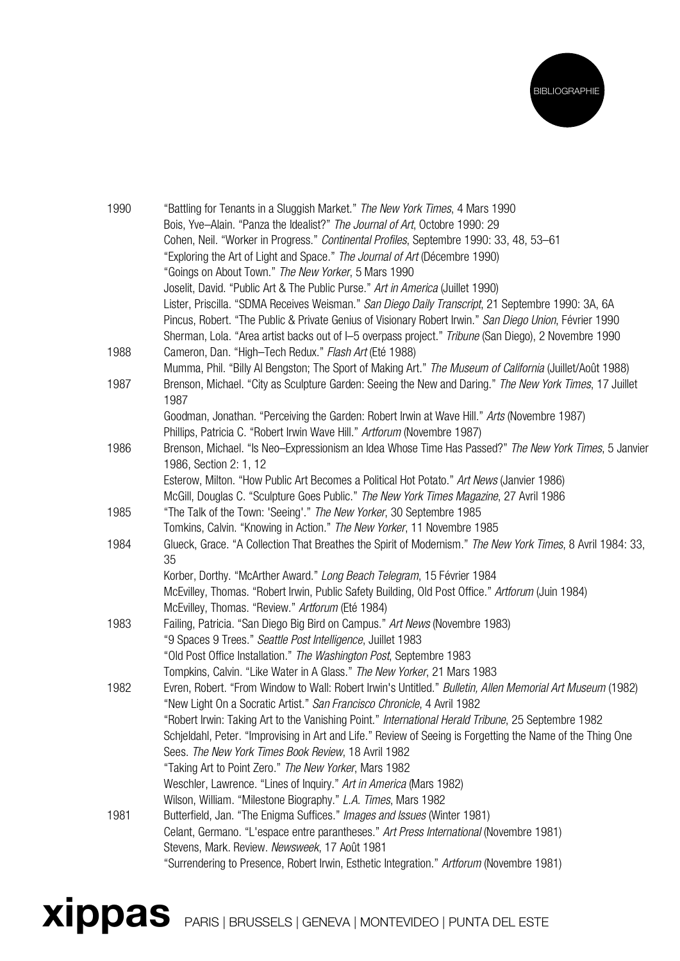

| 1990 | "Battling for Tenants in a Sluggish Market." The New York Times, 4 Mars 1990<br>Bois, Yve-Alain. "Panza the Idealist?" The Journal of Art, Octobre 1990: 29 |
|------|-------------------------------------------------------------------------------------------------------------------------------------------------------------|
|      | Cohen, Neil. "Worker in Progress." Continental Profiles, Septembre 1990: 33, 48, 53-61                                                                      |
|      | "Exploring the Art of Light and Space." The Journal of Art (Décembre 1990)                                                                                  |
|      | "Goings on About Town." The New Yorker, 5 Mars 1990                                                                                                         |
|      | Joselit, David. "Public Art & The Public Purse." Art in America (Juillet 1990)                                                                              |
|      | Lister, Priscilla. "SDMA Receives Weisman." San Diego Daily Transcript, 21 Septembre 1990: 3A, 6A                                                           |
|      | Pincus, Robert. "The Public & Private Genius of Visionary Robert Irwin." San Diego Union, Février 1990                                                      |
|      | Sherman, Lola. "Area artist backs out of I-5 overpass project." Tribune (San Diego), 2 Novembre 1990                                                        |
| 1988 | Cameron, Dan. "High-Tech Redux." Flash Art (Eté 1988)                                                                                                       |
|      | Mumma, Phil. "Billy Al Bengston; The Sport of Making Art." The Museum of California (Juillet/Août 1988)                                                     |
| 1987 | Brenson, Michael. "City as Sculpture Garden: Seeing the New and Daring." The New York Times, 17 Juillet<br>1987                                             |
|      | Goodman, Jonathan. "Perceiving the Garden: Robert Irwin at Wave Hill." Arts (Novembre 1987)                                                                 |
|      | Phillips, Patricia C. "Robert Irwin Wave Hill." Artforum (Novembre 1987)                                                                                    |
| 1986 | Brenson, Michael. "Is Neo-Expressionism an Idea Whose Time Has Passed?" The New York Times, 5 Janvier<br>1986, Section 2: 1, 12                             |
|      | Esterow, Milton. "How Public Art Becomes a Political Hot Potato." Art News (Janvier 1986)                                                                   |
|      | McGill, Douglas C. "Sculpture Goes Public." The New York Times Magazine, 27 Avril 1986                                                                      |
| 1985 | "The Talk of the Town: 'Seeing'." The New Yorker, 30 Septembre 1985                                                                                         |
|      | Tomkins, Calvin. "Knowing in Action." The New Yorker, 11 Novembre 1985                                                                                      |
| 1984 | Glueck, Grace. "A Collection That Breathes the Spirit of Modernism." The New York Times, 8 Avril 1984: 33,<br>35                                            |
|      | Korber, Dorthy. "McArther Award." Long Beach Telegram, 15 Février 1984                                                                                      |
|      | McEvilley, Thomas. "Robert Irwin, Public Safety Building, Old Post Office." Artforum (Juin 1984)                                                            |
|      | McEvilley, Thomas. "Review." Artforum (Eté 1984)                                                                                                            |
| 1983 | Failing, Patricia. "San Diego Big Bird on Campus." Art News (Novembre 1983)                                                                                 |
|      | "9 Spaces 9 Trees." Seattle Post Intelligence, Juillet 1983                                                                                                 |
|      | "Old Post Office Installation." The Washington Post, Septembre 1983                                                                                         |
|      | Tompkins, Calvin. "Like Water in A Glass." The New Yorker, 21 Mars 1983                                                                                     |
| 1982 | Evren, Robert. "From Window to Wall: Robert Irwin's Untitled." Bulletin, Allen Memorial Art Museum (1982)                                                   |
|      | "New Light On a Socratic Artist." San Francisco Chronicle, 4 Avril 1982                                                                                     |
|      | "Robert Irwin: Taking Art to the Vanishing Point." <i>International Herald Tribune</i> , 25 Septembre 1982                                                  |
|      | Schieldahl, Peter. "Improvising in Art and Life." Review of Seeing is Forgetting the Name of the Thing One                                                  |
|      | Sees. The New York Times Book Review, 18 Avril 1982                                                                                                         |
|      | "Taking Art to Point Zero." The New Yorker, Mars 1982                                                                                                       |
|      | Weschler, Lawrence. "Lines of Inquiry." Art in America (Mars 1982)                                                                                          |
|      | Wilson, William. "Milestone Biography." L.A. Times, Mars 1982                                                                                               |
| 1981 | Butterfield, Jan. "The Enigma Suffices." Images and Issues (Winter 1981)                                                                                    |
|      | Celant, Germano. "L'espace entre parantheses." Art Press International (Novembre 1981)                                                                      |
|      | Stevens, Mark. Review. Newsweek, 17 Août 1981                                                                                                               |
|      | "Surrendering to Presence, Robert Irwin, Esthetic Integration." Artforum (Novembre 1981)                                                                    |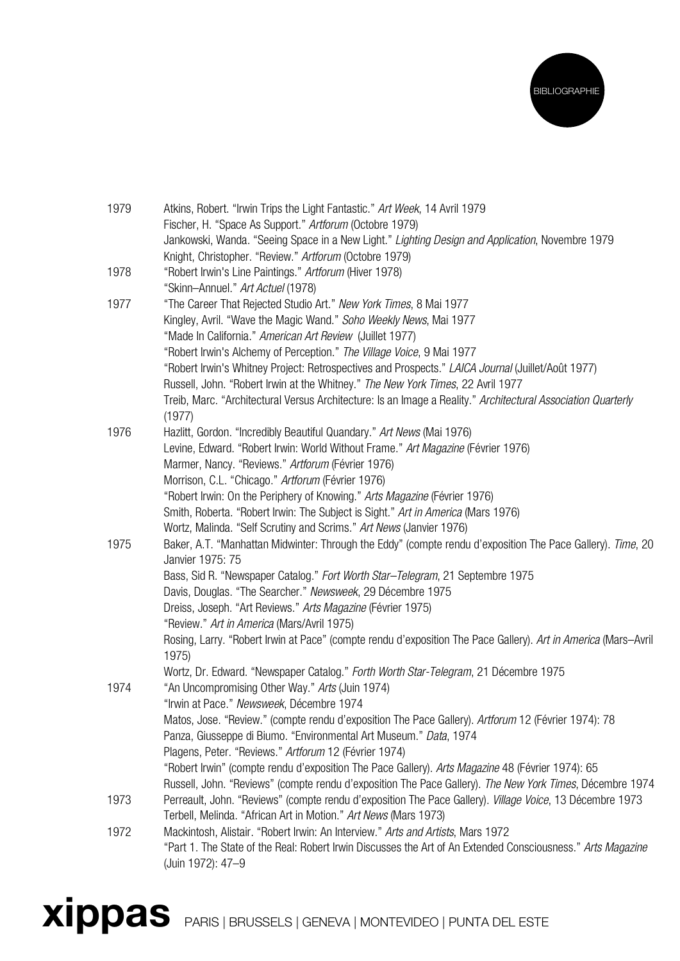

| 1979 | Atkins, Robert. "Irwin Trips the Light Fantastic." Art Week, 14 Avril 1979<br>Fischer, H. "Space As Support." Artforum (Octobre 1979)<br>Jankowski, Wanda. "Seeing Space in a New Light." Lighting Design and Application, Novembre 1979 |
|------|------------------------------------------------------------------------------------------------------------------------------------------------------------------------------------------------------------------------------------------|
|      | Knight, Christopher. "Review." Artforum (Octobre 1979)                                                                                                                                                                                   |
| 1978 | "Robert Irwin's Line Paintings." Artforum (Hiver 1978)                                                                                                                                                                                   |
|      | "Skinn-Annuel." Art Actuel (1978)                                                                                                                                                                                                        |
| 1977 | "The Career That Rejected Studio Art." New York Times, 8 Mai 1977<br>Kingley, Avril. "Wave the Magic Wand." Soho Weekly News, Mai 1977                                                                                                   |
|      | "Made In California." American Art Review (Juillet 1977)                                                                                                                                                                                 |
|      | "Robert Irwin's Alchemy of Perception." The Village Voice, 9 Mai 1977                                                                                                                                                                    |
|      | "Robert Irwin's Whitney Project: Retrospectives and Prospects." LAICA Journal (Juillet/Août 1977)                                                                                                                                        |
|      | Russell, John. "Robert Irwin at the Whitney." The New York Times, 22 Avril 1977                                                                                                                                                          |
|      | Treib, Marc. "Architectural Versus Architecture: Is an Image a Reality." Architectural Association Quarterly                                                                                                                             |
|      | (1977)                                                                                                                                                                                                                                   |
| 1976 | Hazlitt, Gordon. "Incredibly Beautiful Quandary." Art News (Mai 1976)                                                                                                                                                                    |
|      | Levine, Edward. "Robert Irwin: World Without Frame." Art Magazine (Février 1976)                                                                                                                                                         |
|      | Marmer, Nancy. "Reviews." Artforum (Février 1976)<br>Morrison, C.L. "Chicago." Artforum (Février 1976)                                                                                                                                   |
|      | "Robert Irwin: On the Periphery of Knowing." Arts Magazine (Février 1976)                                                                                                                                                                |
|      | Smith, Roberta. "Robert Irwin: The Subject is Sight." Art in America (Mars 1976)                                                                                                                                                         |
|      | Wortz, Malinda. "Self Scrutiny and Scrims." Art News (Janvier 1976)                                                                                                                                                                      |
| 1975 | Baker, A.T. "Manhattan Midwinter: Through the Eddy" (compte rendu d'exposition The Pace Gallery). Time, 20<br>Janvier 1975: 75                                                                                                           |
|      | Bass, Sid R. "Newspaper Catalog." Fort Worth Star-Telegram, 21 Septembre 1975                                                                                                                                                            |
|      | Davis, Douglas. "The Searcher." Newsweek, 29 Décembre 1975                                                                                                                                                                               |
|      | Dreiss, Joseph. "Art Reviews." Arts Magazine (Février 1975)                                                                                                                                                                              |
|      | "Review." Art in America (Mars/Avril 1975)                                                                                                                                                                                               |
|      | Rosing, Larry. "Robert Irwin at Pace" (compte rendu d'exposition The Pace Gallery). Art in America (Mars-Avril<br>1975)                                                                                                                  |
|      | Wortz, Dr. Edward. "Newspaper Catalog." Forth Worth Star-Telegram, 21 Décembre 1975                                                                                                                                                      |
| 1974 | "An Uncompromising Other Way." Arts (Juin 1974)                                                                                                                                                                                          |
|      | "Irwin at Pace." Newsweek, Décembre 1974                                                                                                                                                                                                 |
|      | Matos, Jose. "Review." (compte rendu d'exposition The Pace Gallery). Artforum 12 (Février 1974): 78<br>Panza, Giusseppe di Biumo. "Environmental Art Museum." Data, 1974                                                                 |
|      | Plagens, Peter. "Reviews." Artforum 12 (Février 1974)                                                                                                                                                                                    |
|      | "Robert Irwin" (compte rendu d'exposition The Pace Gallery). Arts Magazine 48 (Février 1974): 65                                                                                                                                         |
|      | Russell, John. "Reviews" (compte rendu d'exposition The Pace Gallery). The New York Times, Décembre 1974                                                                                                                                 |
| 1973 | Perreault, John. "Reviews" (compte rendu d'exposition The Pace Gallery). Village Voice, 13 Décembre 1973                                                                                                                                 |
|      | Terbell, Melinda. "African Art in Motion." Art News (Mars 1973)                                                                                                                                                                          |
| 1972 | Mackintosh, Alistair. "Robert Irwin: An Interview." Arts and Artists, Mars 1972                                                                                                                                                          |
|      | "Part 1. The State of the Real: Robert Irwin Discusses the Art of An Extended Consciousness." Arts Magazine<br>(Juin 1972): 47-9                                                                                                         |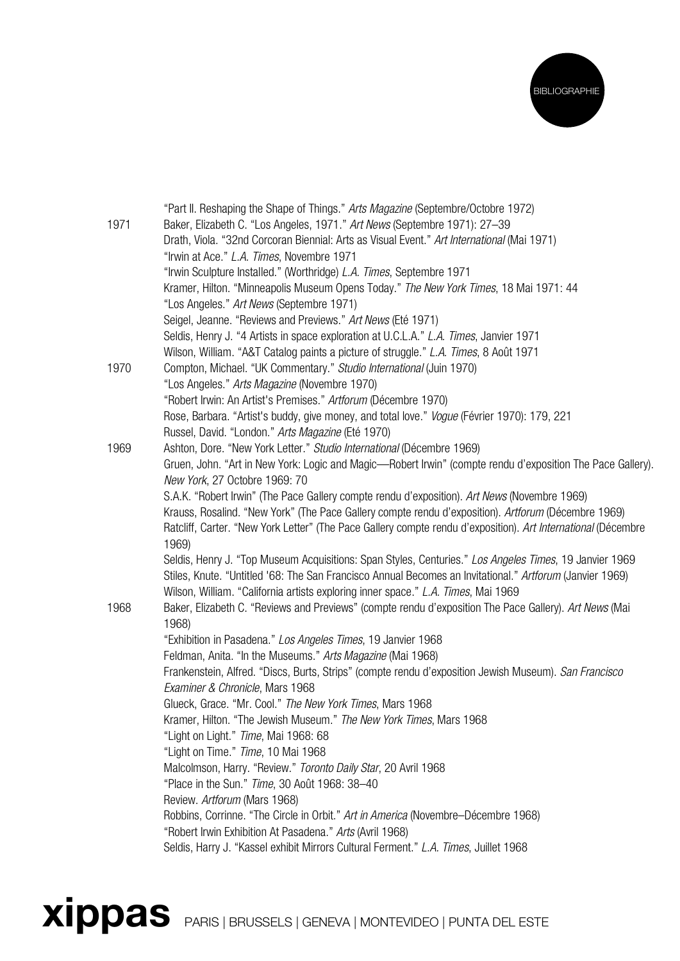

|      | "Part II. Reshaping the Shape of Things." Arts Magazine (Septembre/Octobre 1972)                              |
|------|---------------------------------------------------------------------------------------------------------------|
| 1971 | Baker, Elizabeth C. "Los Angeles, 1971." Art News (Septembre 1971): 27-39                                     |
|      | Drath, Viola. "32nd Corcoran Biennial: Arts as Visual Event." Art International (Mai 1971)                    |
|      | "Irwin at Ace." L.A. Times, Novembre 1971                                                                     |
|      | "Irwin Sculpture Installed." (Worthridge) L.A. Times, Septembre 1971                                          |
|      | Kramer, Hilton. "Minneapolis Museum Opens Today." The New York Times, 18 Mai 1971: 44                         |
|      | "Los Angeles." Art News (Septembre 1971)                                                                      |
|      | Seigel, Jeanne. "Reviews and Previews." Art News (Eté 1971)                                                   |
|      | Seldis, Henry J. "4 Artists in space exploration at U.C.L.A." L.A. Times, Janvier 1971                        |
|      | Wilson, William. "A&T Catalog paints a picture of struggle." L.A. Times, 8 Août 1971                          |
| 1970 | Compton, Michael. "UK Commentary." Studio International (Juin 1970)                                           |
|      | "Los Angeles." Arts Magazine (Novembre 1970)                                                                  |
|      | "Robert Irwin: An Artist's Premises." Artforum (Décembre 1970)                                                |
|      | Rose, Barbara. "Artist's buddy, give money, and total love." Vogue (Février 1970): 179, 221                   |
|      | Russel, David. "London." Arts Magazine (Eté 1970)                                                             |
| 1969 | Ashton, Dore. "New York Letter." Studio International (Décembre 1969)                                         |
|      | Gruen, John. "Art in New York: Logic and Magic-Robert Irwin" (compte rendu d'exposition The Pace Gallery).    |
|      | New York, 27 Octobre 1969: 70                                                                                 |
|      | S.A.K. "Robert Irwin" (The Pace Gallery compte rendu d'exposition). Art News (Novembre 1969)                  |
|      | Krauss, Rosalind. "New York" (The Pace Gallery compte rendu d'exposition). Artforum (Décembre 1969)           |
|      | Ratcliff, Carter. "New York Letter" (The Pace Gallery compte rendu d'exposition). Art International (Décembre |
|      | 1969)                                                                                                         |
|      | Seldis, Henry J. "Top Museum Acquisitions: Span Styles, Centuries." Los Angeles Times, 19 Janvier 1969        |
|      | Stiles, Knute. "Untitled '68: The San Francisco Annual Becomes an Invitational." Artforum (Janvier 1969)      |
|      | Wilson, William. "California artists exploring inner space." L.A. Times, Mai 1969                             |
| 1968 | Baker, Elizabeth C. "Reviews and Previews" (compte rendu d'exposition The Pace Gallery). Art News (Mai        |
|      | 1968)                                                                                                         |
|      | "Exhibition in Pasadena." Los Angeles Times, 19 Janvier 1968                                                  |
|      | Feldman, Anita. "In the Museums." Arts Magazine (Mai 1968)                                                    |
|      | Frankenstein, Alfred. "Discs, Burts, Strips" (compte rendu d'exposition Jewish Museum). San Francisco         |
|      | Examiner & Chronicle, Mars 1968                                                                               |
|      | Glueck, Grace. "Mr. Cool." The New York Times, Mars 1968                                                      |
|      | Kramer, Hilton. "The Jewish Museum." The New York Times, Mars 1968                                            |
|      | "Light on Light." Time, Mai 1968: 68                                                                          |
|      | "Light on Time." Time, 10 Mai 1968                                                                            |
|      | Malcolmson, Harry. "Review." Toronto Daily Star, 20 Avril 1968                                                |
|      | "Place in the Sun." Time, 30 Août 1968: 38-40                                                                 |
|      | Review. Artforum (Mars 1968)                                                                                  |
|      | Robbins, Corrinne. "The Circle in Orbit." Art in America (Novembre-Décembre 1968)                             |
|      | "Robert Irwin Exhibition At Pasadena." Arts (Avril 1968)                                                      |
|      | Seldis, Harry J. "Kassel exhibit Mirrors Cultural Ferment." L.A. Times, Juillet 1968                          |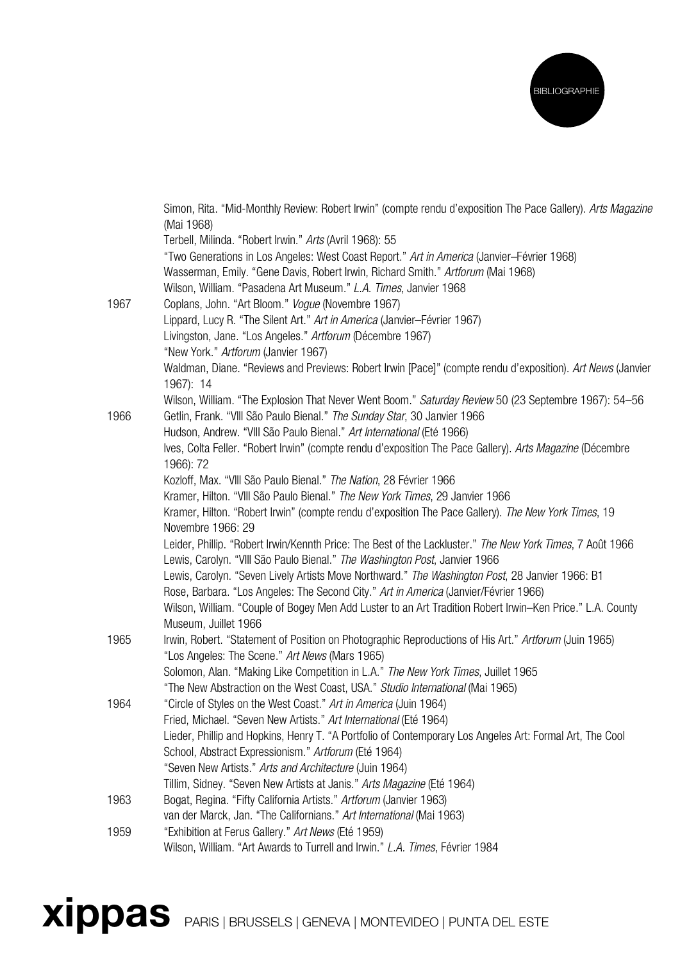

|      | Simon, Rita. "Mid-Monthly Review: Robert Irwin" (compte rendu d'exposition The Pace Gallery). Arts Magazine                                                                             |
|------|-----------------------------------------------------------------------------------------------------------------------------------------------------------------------------------------|
|      | (Mai 1968)                                                                                                                                                                              |
|      | Terbell, Milinda. "Robert Irwin." Arts (Avril 1968): 55                                                                                                                                 |
|      | "Two Generations in Los Angeles: West Coast Report." Art in America (Janvier-Février 1968)<br>Wasserman, Emily. "Gene Davis, Robert Irwin, Richard Smith." Artforum (Mai 1968)          |
|      |                                                                                                                                                                                         |
|      | Wilson, William. "Pasadena Art Museum." L.A. Times, Janvier 1968                                                                                                                        |
| 1967 | Coplans, John. "Art Bloom." Vogue (Novembre 1967)                                                                                                                                       |
|      | Lippard, Lucy R. "The Silent Art." Art in America (Janvier-Février 1967)                                                                                                                |
|      | Livingston, Jane. "Los Angeles." Artforum (Décembre 1967)                                                                                                                               |
|      | "New York." Artforum (Janvier 1967)                                                                                                                                                     |
|      | Waldman, Diane. "Reviews and Previews: Robert Irwin [Pace]" (compte rendu d'exposition). Art News (Janvier<br>1967): 14                                                                 |
|      | Wilson, William. "The Explosion That Never Went Boom." Saturday Review 50 (23 Septembre 1967): 54-56                                                                                    |
| 1966 | Getlin, Frank. "VIII São Paulo Bienal." The Sunday Star, 30 Janvier 1966                                                                                                                |
|      | Hudson, Andrew. "VIII São Paulo Bienal." Art International (Eté 1966)                                                                                                                   |
|      | Ives, Colta Feller. "Robert Irwin" (compte rendu d'exposition The Pace Gallery). Arts Magazine (Décembre                                                                                |
|      | 1966): 72                                                                                                                                                                               |
|      | Kozloff, Max. "VIII São Paulo Bienal." The Nation, 28 Février 1966                                                                                                                      |
|      | Kramer, Hilton. "VIII São Paulo Bienal." The New York Times, 29 Janvier 1966                                                                                                            |
|      | Kramer, Hilton. "Robert Irwin" (compte rendu d'exposition The Pace Gallery). The New York Times, 19                                                                                     |
|      | Novembre 1966: 29                                                                                                                                                                       |
|      | Leider, Phillip. "Robert Irwin/Kennth Price: The Best of the Lackluster." The New York Times, 7 Août 1966<br>Lewis, Carolyn. "VIII São Paulo Bienal." The Washington Post, Janvier 1966 |
|      | Lewis, Carolyn. "Seven Lively Artists Move Northward." The Washington Post, 28 Janvier 1966: B1                                                                                         |
|      | Rose, Barbara. "Los Angeles: The Second City." Art in America (Janvier/Février 1966)                                                                                                    |
|      | Wilson, William. "Couple of Bogey Men Add Luster to an Art Tradition Robert Irwin–Ken Price." L.A. County                                                                               |
|      | Museum, Juillet 1966                                                                                                                                                                    |
| 1965 | Irwin, Robert. "Statement of Position on Photographic Reproductions of His Art." Artforum (Juin 1965)                                                                                   |
|      | "Los Angeles: The Scene." Art News (Mars 1965)                                                                                                                                          |
|      | Solomon, Alan. "Making Like Competition in L.A." The New York Times, Juillet 1965                                                                                                       |
|      | "The New Abstraction on the West Coast, USA." Studio International (Mai 1965)                                                                                                           |
| 1964 | "Circle of Styles on the West Coast." Art in America (Juin 1964)                                                                                                                        |
|      | Fried, Michael. "Seven New Artists." Art International (Eté 1964)                                                                                                                       |
|      | Lieder, Phillip and Hopkins, Henry T. "A Portfolio of Contemporary Los Angeles Art: Formal Art, The Cool                                                                                |
|      | School, Abstract Expressionism." Artforum (Eté 1964)                                                                                                                                    |
|      | "Seven New Artists." Arts and Architecture (Juin 1964)                                                                                                                                  |
|      | Tillim, Sidney. "Seven New Artists at Janis." Arts Magazine (Eté 1964)                                                                                                                  |
| 1963 | Bogat, Regina. "Fifty California Artists." Artforum (Janvier 1963)                                                                                                                      |
|      | van der Marck, Jan. "The Californians." Art International (Mai 1963)                                                                                                                    |
| 1959 | "Exhibition at Ferus Gallery." Art News (Eté 1959)                                                                                                                                      |
|      | Wilson, William. "Art Awards to Turrell and Irwin." L.A. Times, Février 1984                                                                                                            |